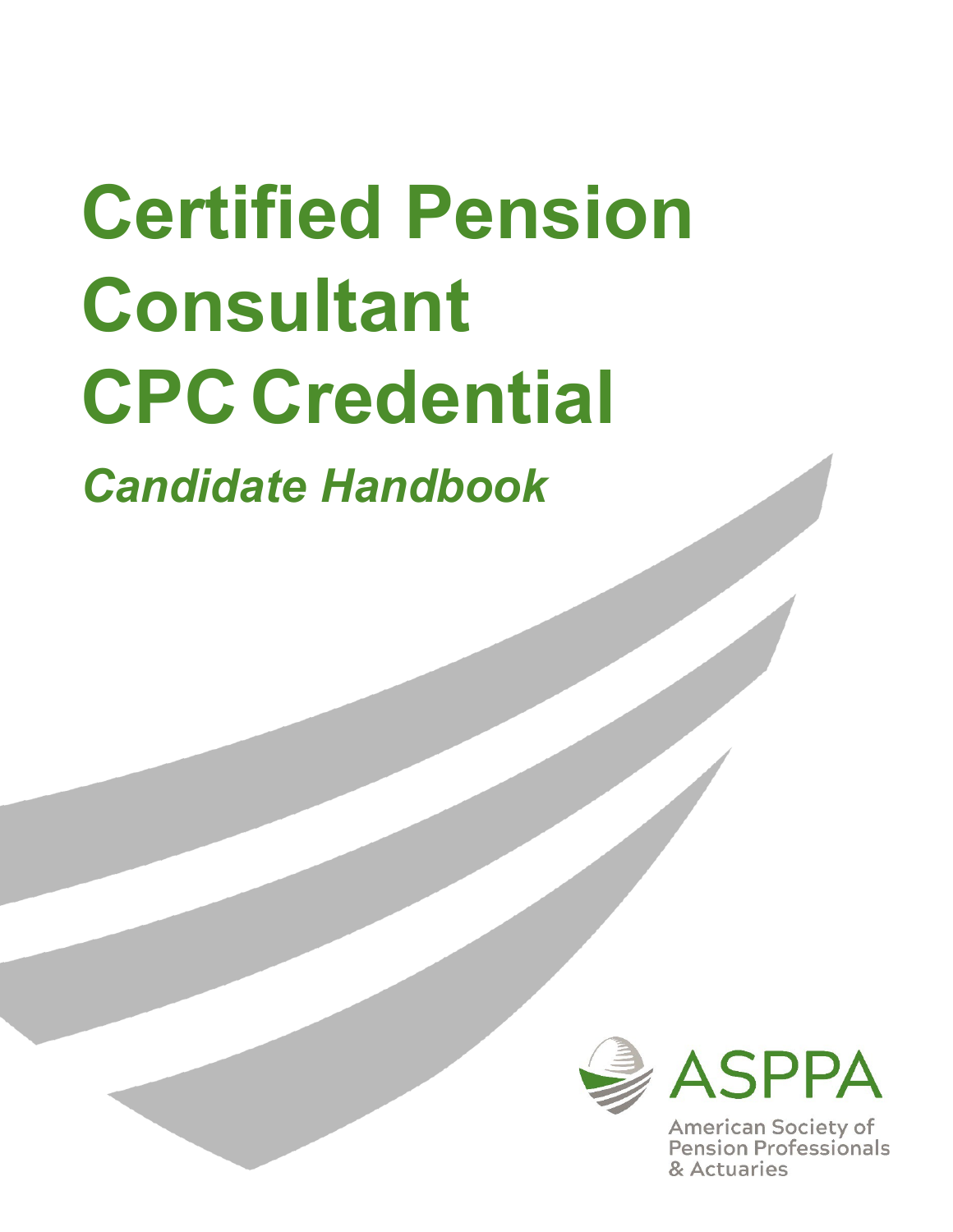# **Certified Pension Consultant CPC Credential**

*Candidate Handbook*



**American Society of Pension Professionals** & Actuaries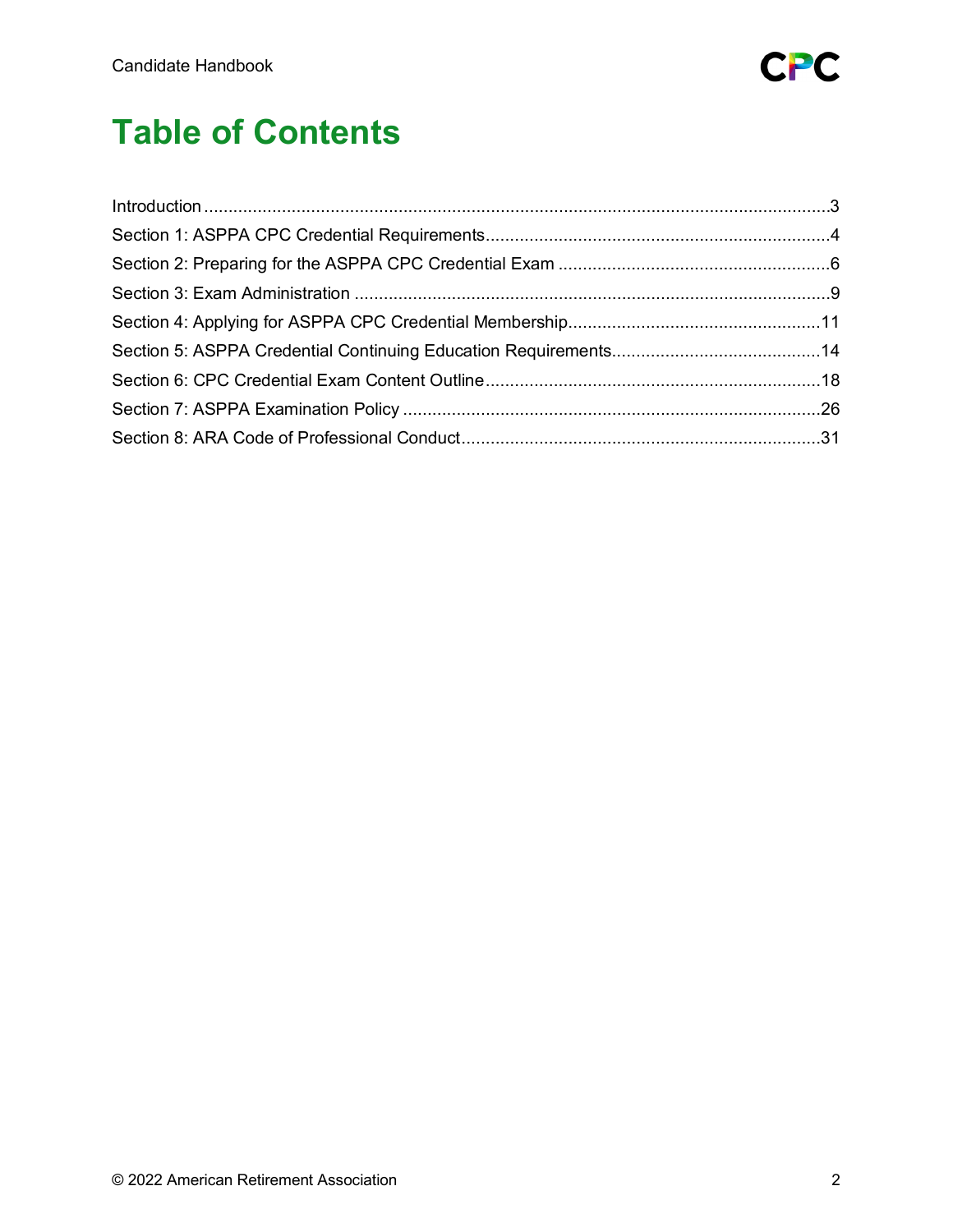

# **Table of Contents**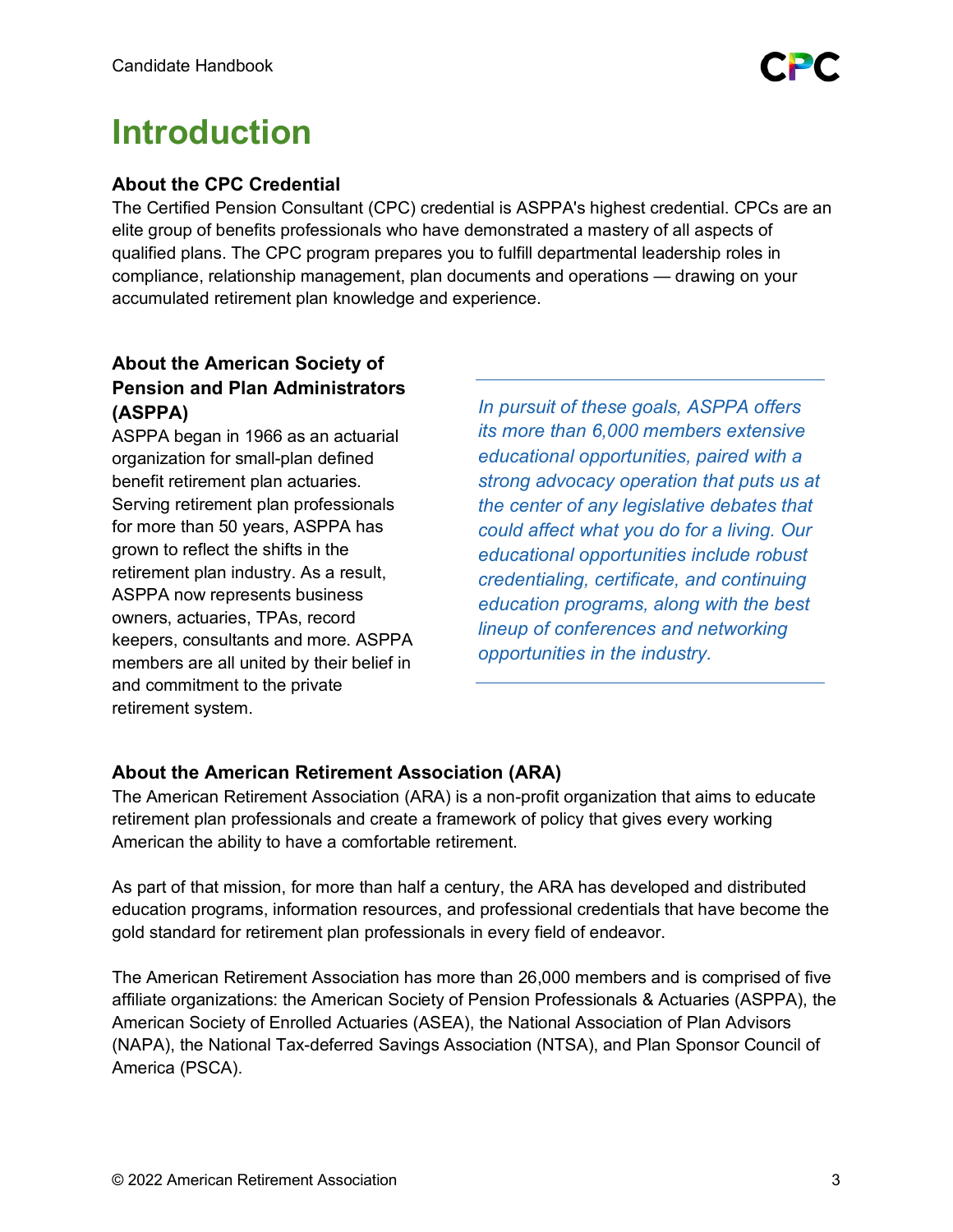

# <span id="page-2-0"></span>**Introduction**

# **About the CPC Credential**

The Certified Pension Consultant (CPC) credential is ASPPA's highest credential. CPCs are an elite group of benefits professionals who have demonstrated a mastery of all aspects of qualified plans. The CPC program prepares you to fulfill departmental leadership roles in compliance, relationship management, plan documents and operations — drawing on your accumulated retirement plan knowledge and experience.

# **About the American Society of Pension and Plan Administrators (ASPPA)**

ASPPA began in 1966 as an actuarial organization for small-plan defined benefit retirement plan actuaries. Serving retirement plan professionals for more than 50 years, ASPPA has grown to reflect the shifts in the retirement plan industry. As a result, ASPPA now represents business owners, actuaries, TPAs, record keepers, consultants and more. ASPPA members are all united by their belief in and commitment to the private retirement system.

*In pursuit of these goals, ASPPA offers its more than 6,000 members extensive educational opportunities, paired with a strong advocacy operation that puts us at the center of any legislative debates that could affect what you do for a living. Our educational opportunities include robust credentialing, certificate, and continuing education programs, along with the best lineup of conferences and networking opportunities in the industry.*

# **About the American Retirement Association (ARA)**

The American Retirement Association (ARA) is a non-profit organization that aims to educate retirement plan professionals and create a framework of policy that gives every working American the ability to have a comfortable retirement.

As part of that mission, for more than half a century, the ARA has developed and distributed education programs, information resources, and professional credentials that have become the gold standard for retirement plan professionals in every field of endeavor.

The American Retirement Association has more than 26,000 members and is comprised of five affiliate organizations: the American Society of Pension Professionals & Actuaries (ASPPA), the American Society of Enrolled Actuaries (ASEA), the National Association of Plan Advisors (NAPA), the National Tax-deferred Savings Association (NTSA), and Plan Sponsor Council of America (PSCA).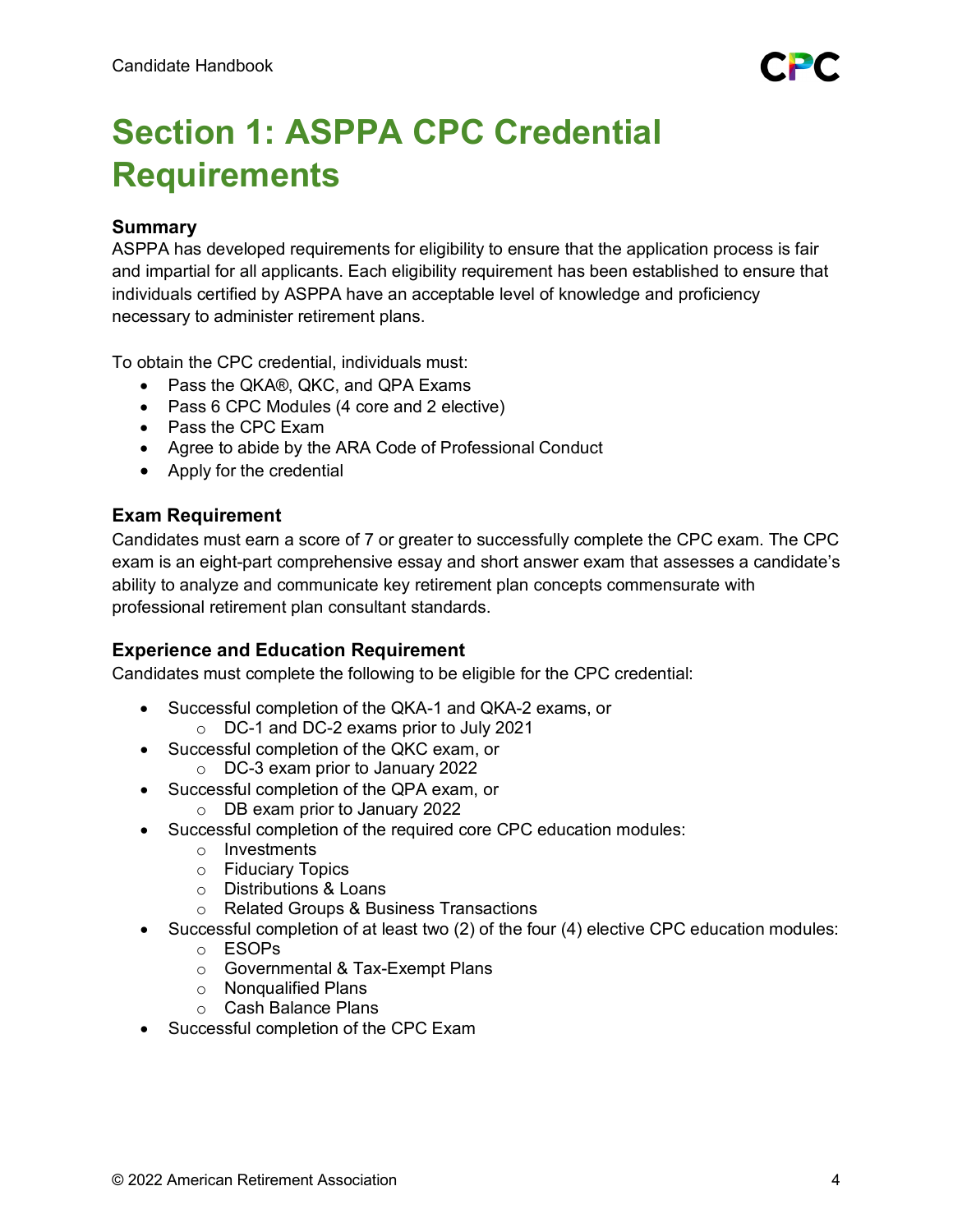# <span id="page-3-0"></span>**Section 1: ASPPA CPC Credential Requirements**

# **Summary**

ASPPA has developed requirements for eligibility to ensure that the application process is fair and impartial for all applicants. Each eligibility requirement has been established to ensure that individuals certified by ASPPA have an acceptable level of knowledge and proficiency necessary to administer retirement plans.

To obtain the CPC credential, individuals must:

- Pass the QKA®, QKC, and QPA Exams
- Pass 6 CPC Modules (4 core and 2 elective)
- Pass the CPC Exam
- Agree to abide by the ARA Code of Professional Conduct
- Apply for the credential

# **Exam Requirement**

Candidates must earn a score of 7 or greater to successfully complete the CPC exam. The CPC exam is an eight-part comprehensive essay and short answer exam that assesses a candidate's ability to analyze and communicate key retirement plan concepts commensurate with professional retirement plan consultant standards.

# **Experience and Education Requirement**

Candidates must complete the following to be eligible for the CPC credential:

- Successful completion of the QKA-1 and QKA-2 exams, or
	- o DC-1 and DC-2 exams prior to July 2021
- Successful completion of the QKC exam, or
	- o DC-3 exam prior to January 2022
- Successful completion of the QPA exam, or
	- o DB exam prior to January 2022
- Successful completion of the required core CPC education modules:
	- o Investments
	- o Fiduciary Topics
	- o Distributions & Loans
	- o Related Groups & Business Transactions
- Successful completion of at least two (2) of the four (4) elective CPC education modules:
	- o ESOPs
	- o Governmental & Tax-Exempt Plans
	- o Nonqualified Plans
	- o Cash Balance Plans
- Successful completion of the CPC Exam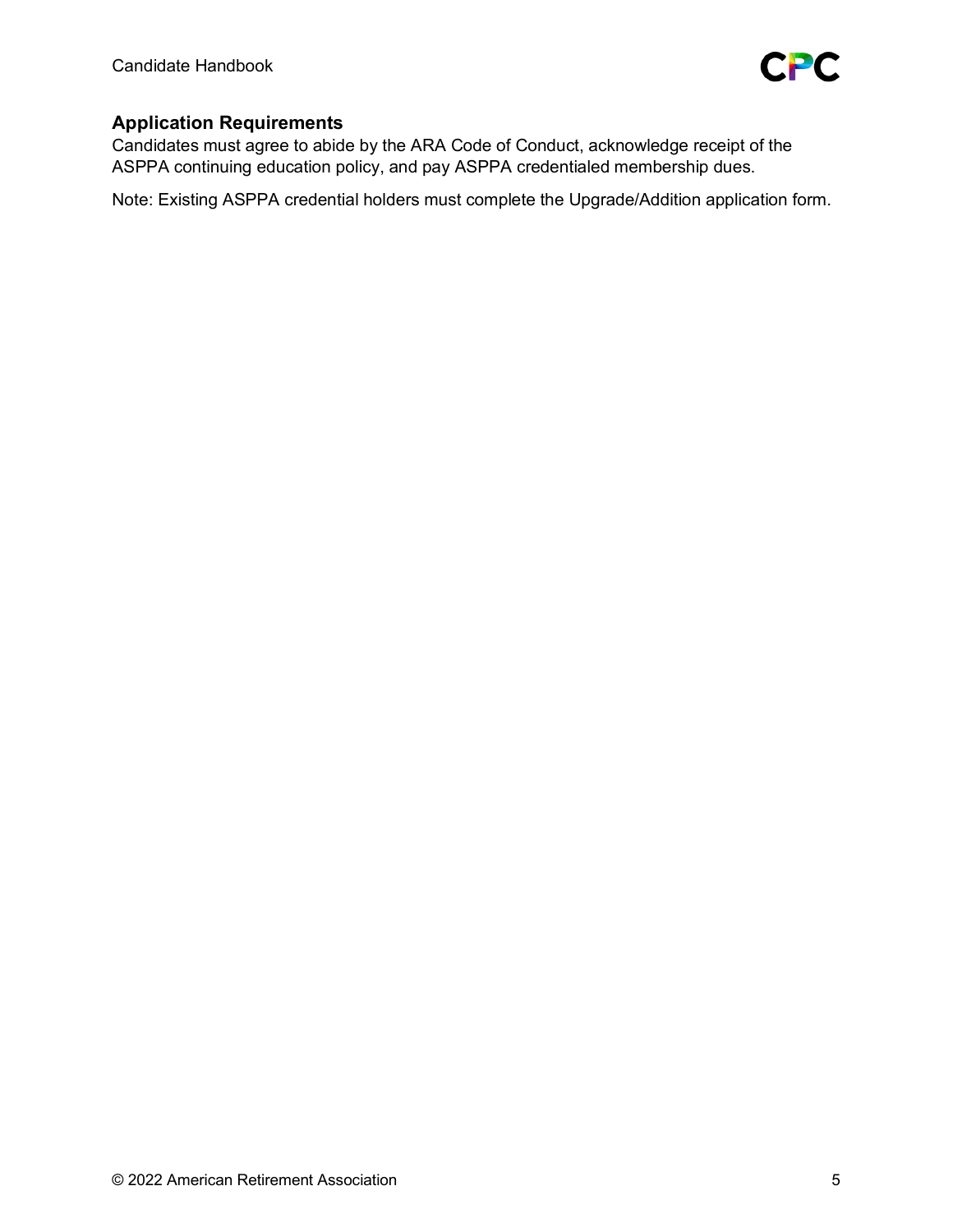

# **Application Requirements**

Candidates must agree to abide by the ARA Code of Conduct, acknowledge receipt of the ASPPA continuing education policy, and pay ASPPA credentialed membership dues.

Note: Existing ASPPA credential holders must complete the Upgrade/Addition application form.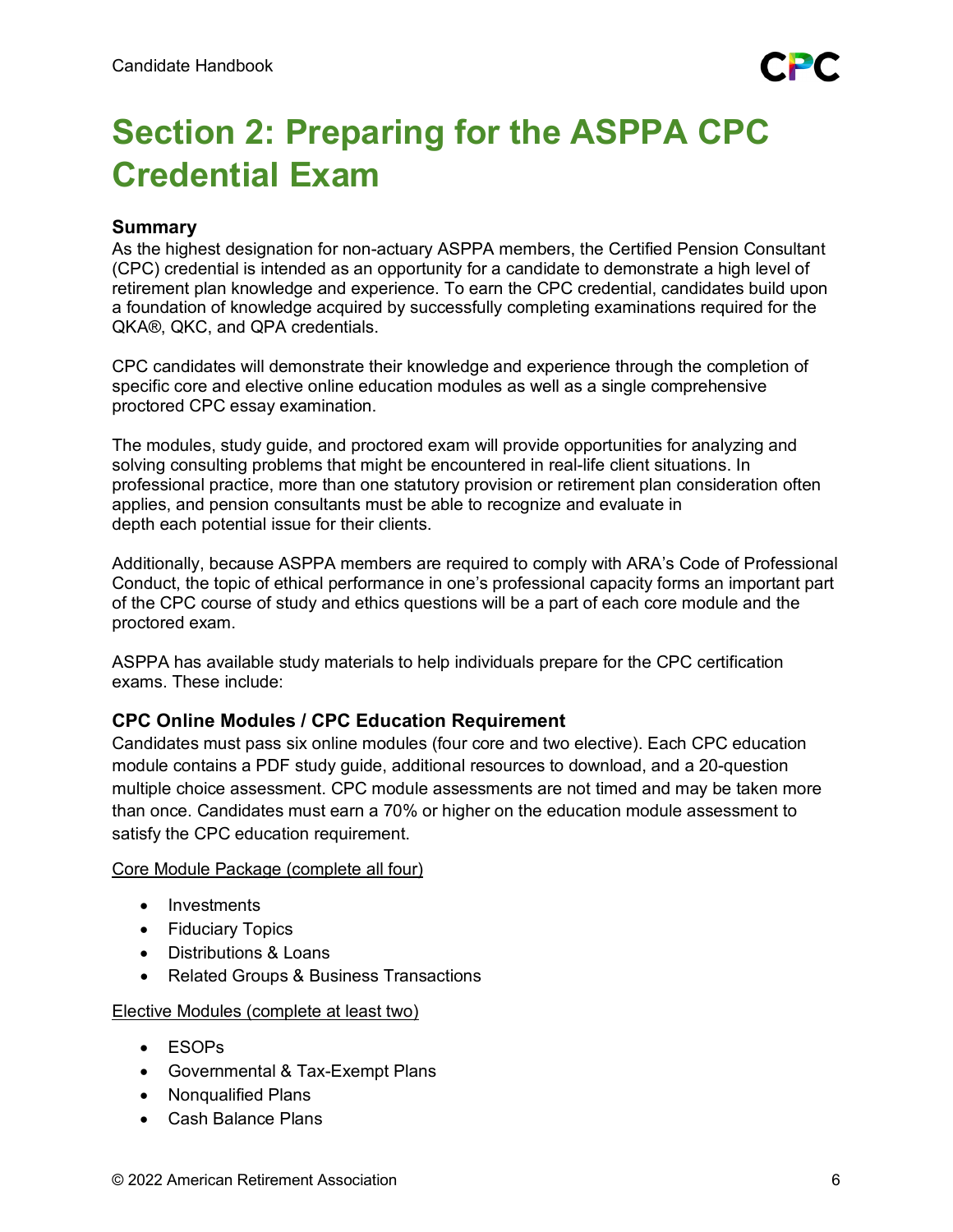# <span id="page-5-0"></span>**Section 2: Preparing for the ASPPA CPC Credential Exam**

# **Summary**

As the highest designation for non-actuary ASPPA members, the Certified Pension Consultant (CPC) credential is intended as an opportunity for a candidate to demonstrate a high level of retirement plan knowledge and experience. To earn the CPC credential, candidates build upon a foundation of knowledge acquired by successfully completing examinations required for the QKA®, QKC, and QPA credentials.

CPC candidates will demonstrate their knowledge and experience through the completion of specific core and elective online education modules as well as a single comprehensive proctored CPC essay examination.

The modules, study guide, and proctored exam will provide opportunities for analyzing and solving consulting problems that might be encountered in real-life client situations. In professional practice, more than one statutory provision or retirement plan consideration often applies, and pension consultants must be able to recognize and evaluate in depth each potential issue for their clients.

Additionally, because ASPPA members are required to comply with ARA's Code of Professional Conduct, the topic of ethical performance in one's professional capacity forms an important part of the CPC course of study and ethics questions will be a part of each core module and the proctored exam.

ASPPA has available study materials to help individuals prepare for the CPC certification exams. These include:

# **CPC Online Modules / CPC Education Requirement**

Candidates must pass six online modules (four core and two elective). Each CPC education module contains a PDF study guide, additional resources to download, and a 20-question multiple choice assessment. CPC module assessments are not timed and may be taken more than once. Candidates must earn a 70% or higher on the education module assessment to satisfy the CPC education requirement.

#### Core Module Package (complete all four)

- Investments
- Fiduciary Topics
- Distributions & Loans
- Related Groups & Business Transactions

#### Elective Modules (complete at least two)

- ESOPs
- Governmental & Tax-Exempt Plans
- Nonqualified Plans
- Cash Balance Plans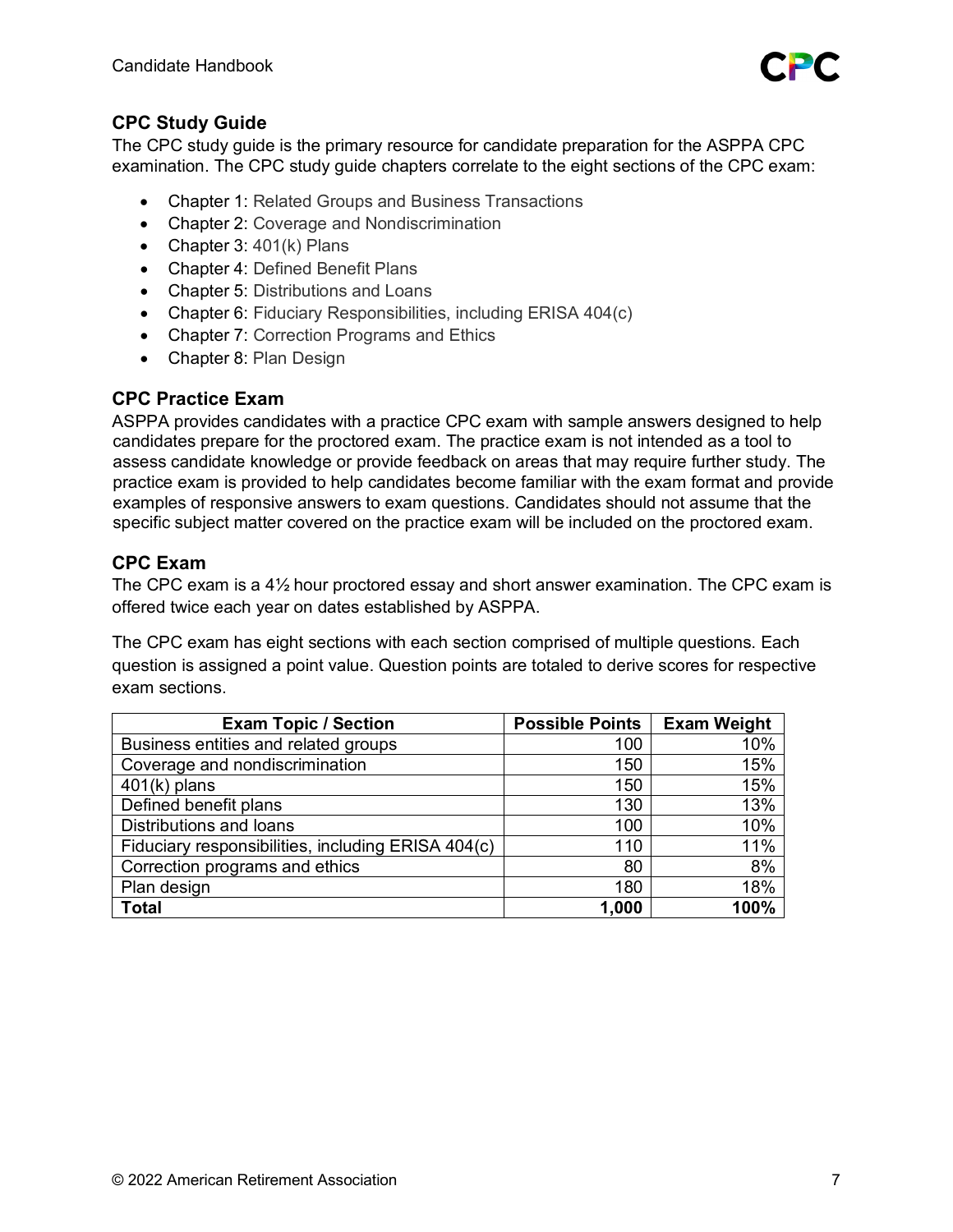

# **CPC Study Guide**

The CPC study guide is the primary resource for candidate preparation for the ASPPA CPC examination. The CPC study guide chapters correlate to the eight sections of the CPC exam:

- Chapter 1: Related Groups and Business Transactions
- Chapter 2: Coverage and Nondiscrimination
- Chapter 3: 401(k) Plans
- Chapter 4: Defined Benefit Plans
- Chapter 5: Distributions and Loans
- Chapter 6: Fiduciary Responsibilities, including ERISA 404(c)
- Chapter 7: Correction Programs and Ethics
- Chapter 8: Plan Design

# **CPC Practice Exam**

ASPPA provides candidates with a practice CPC exam with sample answers designed to help candidates prepare for the proctored exam. The practice exam is not intended as a tool to assess candidate knowledge or provide feedback on areas that may require further study. The practice exam is provided to help candidates become familiar with the exam format and provide examples of responsive answers to exam questions. Candidates should not assume that the specific subject matter covered on the practice exam will be included on the proctored exam.

# **CPC Exam**

The CPC exam is a 4½ hour proctored essay and short answer examination. The CPC exam is offered twice each year on dates established by ASPPA.

The CPC exam has eight sections with each section comprised of multiple questions. Each question is assigned a point value. Question points are totaled to derive scores for respective exam sections.

| <b>Exam Topic / Section</b>                        | <b>Possible Points</b> | <b>Exam Weight</b> |
|----------------------------------------------------|------------------------|--------------------|
| Business entities and related groups               | 100                    | 10%                |
| Coverage and nondiscrimination                     | 150                    | 15%                |
| $401(k)$ plans                                     | 150                    | 15%                |
| Defined benefit plans                              | 130                    | 13%                |
| Distributions and loans                            | 100                    | 10%                |
| Fiduciary responsibilities, including ERISA 404(c) | 110                    | 11%                |
| Correction programs and ethics                     | 80                     | 8%                 |
| Plan design                                        | 180                    | 18%                |
| <b>Total</b>                                       | 1,000                  | 100%               |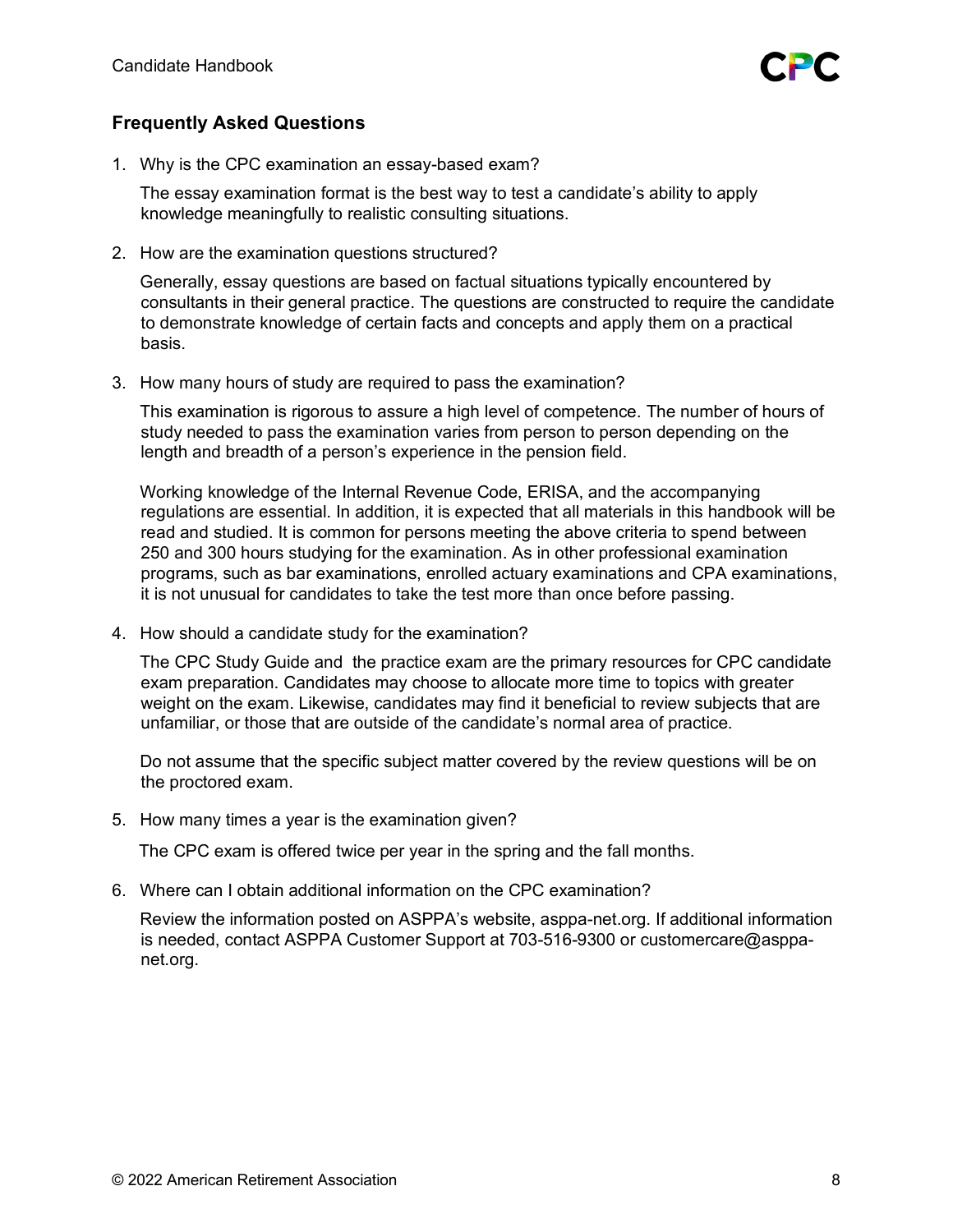

# **Frequently Asked Questions**

1. Why is the CPC examination an essay-based exam?

The essay examination format is the best way to test a candidate's ability to apply knowledge meaningfully to realistic consulting situations.

2. How are the examination questions structured?

Generally, essay questions are based on factual situations typically encountered by consultants in their general practice. The questions are constructed to require the candidate to demonstrate knowledge of certain facts and concepts and apply them on a practical basis.

3. How many hours of study are required to pass the examination?

This examination is rigorous to assure a high level of competence. The number of hours of study needed to pass the examination varies from person to person depending on the length and breadth of a person's experience in the pension field.

Working knowledge of the Internal Revenue Code, ERISA, and the accompanying regulations are essential. In addition, it is expected that all materials in this handbook will be read and studied. It is common for persons meeting the above criteria to spend between 250 and 300 hours studying for the examination. As in other professional examination programs, such as bar examinations, enrolled actuary examinations and CPA examinations, it is not unusual for candidates to take the test more than once before passing.

4. How should a candidate study for the examination?

The CPC Study Guide and the practice exam are the primary resources for CPC candidate exam preparation. Candidates may choose to allocate more time to topics with greater weight on the exam. Likewise, candidates may find it beneficial to review subjects that are unfamiliar, or those that are outside of the candidate's normal area of practice.

Do not assume that the specific subject matter covered by the review questions will be on the proctored exam.

5. How many times a year is the examination given?

The CPC exam is offered twice per year in the spring and the fall months.

6. Where can I obtain additional information on the CPC examination?

Review the information posted on ASPPA's website, asppa-net.org. If additional information is needed, contact ASPPA Customer Support at 703-516-9300 or customercare@asppanet.org.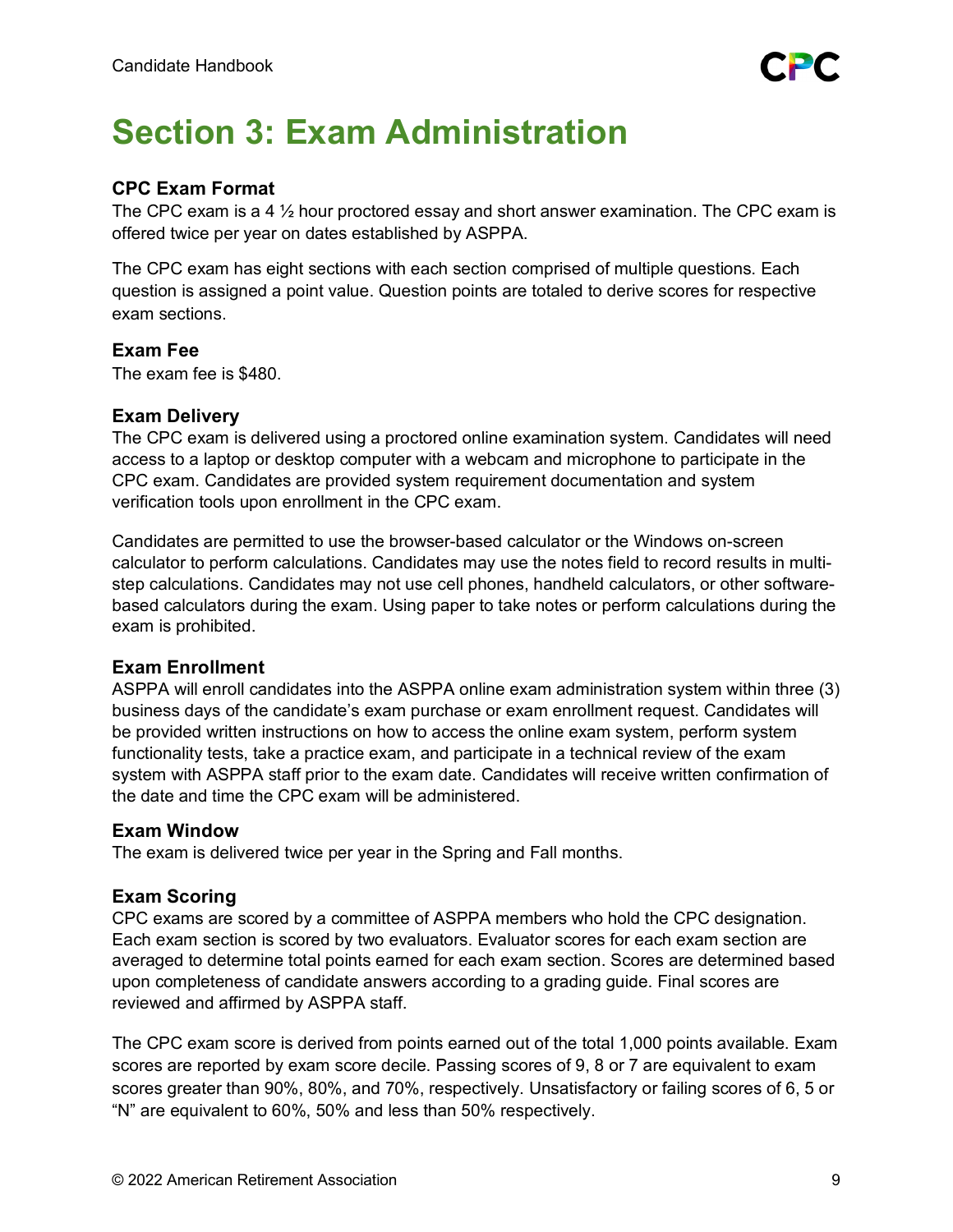# <span id="page-8-0"></span>**Section 3: Exam Administration**

# **CPC Exam Format**

The CPC exam is a 4  $\frac{1}{2}$  hour proctored essay and short answer examination. The CPC exam is offered twice per year on dates established by ASPPA.

The CPC exam has eight sections with each section comprised of multiple questions. Each question is assigned a point value. Question points are totaled to derive scores for respective exam sections.

# **Exam Fee**

The exam fee is \$480.

# **Exam Delivery**

The CPC exam is delivered using a proctored online examination system. Candidates will need access to a laptop or desktop computer with a webcam and microphone to participate in the CPC exam. Candidates are provided system requirement documentation and system verification tools upon enrollment in the CPC exam.

Candidates are permitted to use the browser-based calculator or the Windows on-screen calculator to perform calculations. Candidates may use the notes field to record results in multistep calculations. Candidates may not use cell phones, handheld calculators, or other softwarebased calculators during the exam. Using paper to take notes or perform calculations during the exam is prohibited.

# **Exam Enrollment**

ASPPA will enroll candidates into the ASPPA online exam administration system within three (3) business days of the candidate's exam purchase or exam enrollment request. Candidates will be provided written instructions on how to access the online exam system, perform system functionality tests, take a practice exam, and participate in a technical review of the exam system with ASPPA staff prior to the exam date. Candidates will receive written confirmation of the date and time the CPC exam will be administered.

# **Exam Window**

The exam is delivered twice per year in the Spring and Fall months.

# **Exam Scoring**

CPC exams are scored by a committee of ASPPA members who hold the CPC designation. Each exam section is scored by two evaluators. Evaluator scores for each exam section are averaged to determine total points earned for each exam section. Scores are determined based upon completeness of candidate answers according to a grading guide. Final scores are reviewed and affirmed by ASPPA staff.

The CPC exam score is derived from points earned out of the total 1,000 points available. Exam scores are reported by exam score decile. Passing scores of 9, 8 or 7 are equivalent to exam scores greater than 90%, 80%, and 70%, respectively. Unsatisfactory or failing scores of 6, 5 or "N" are equivalent to 60%, 50% and less than 50% respectively.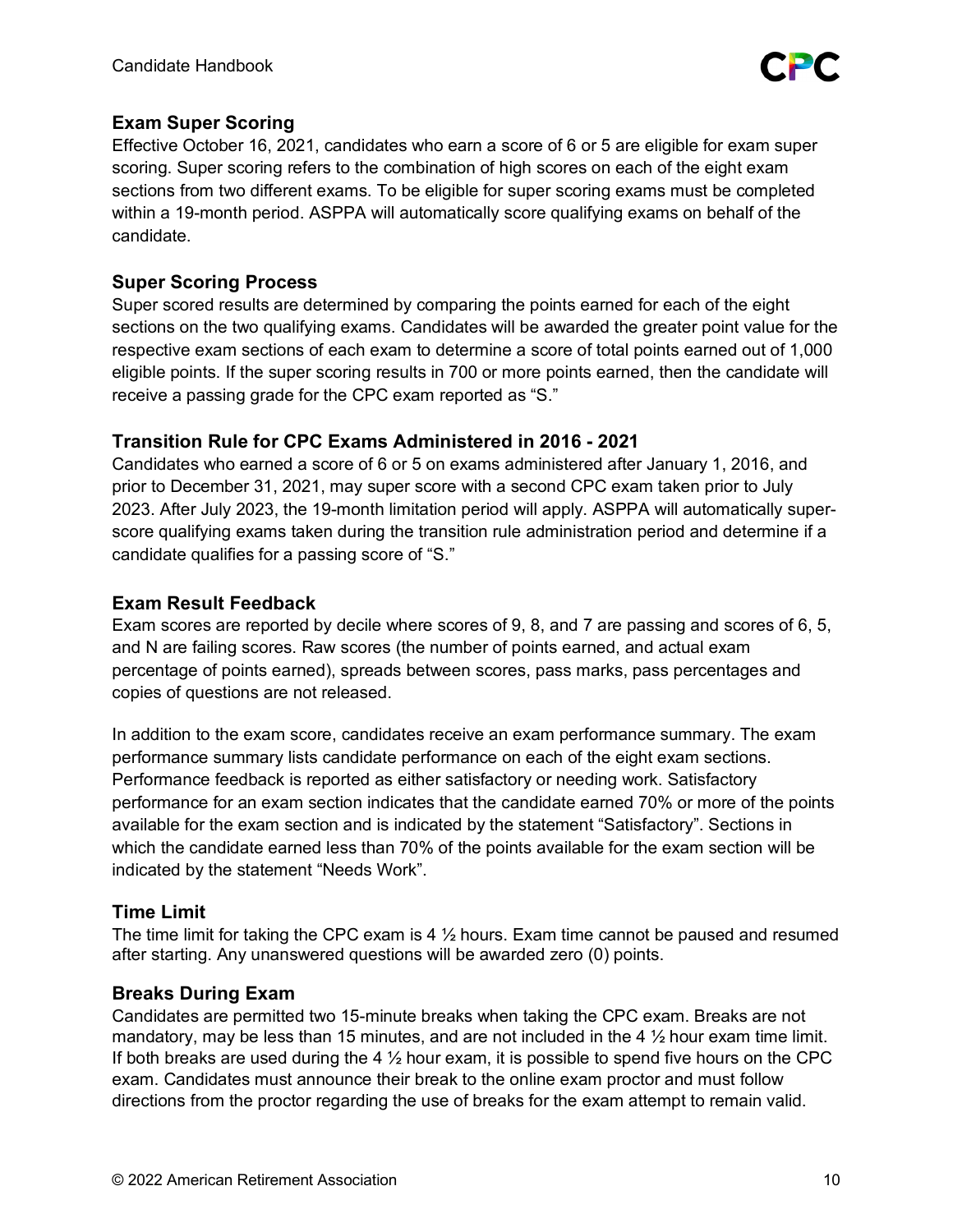

# **Exam Super Scoring**

Effective October 16, 2021, candidates who earn a score of 6 or 5 are eligible for exam super scoring. Super scoring refers to the combination of high scores on each of the eight exam sections from two different exams. To be eligible for super scoring exams must be completed within a 19-month period. ASPPA will automatically score qualifying exams on behalf of the candidate.

# **Super Scoring Process**

Super scored results are determined by comparing the points earned for each of the eight sections on the two qualifying exams. Candidates will be awarded the greater point value for the respective exam sections of each exam to determine a score of total points earned out of 1,000 eligible points. If the super scoring results in 700 or more points earned, then the candidate will receive a passing grade for the CPC exam reported as "S."

# **Transition Rule for CPC Exams Administered in 2016 - 2021**

Candidates who earned a score of 6 or 5 on exams administered after January 1, 2016, and prior to December 31, 2021, may super score with a second CPC exam taken prior to July 2023. After July 2023, the 19-month limitation period will apply. ASPPA will automatically superscore qualifying exams taken during the transition rule administration period and determine if a candidate qualifies for a passing score of "S."

# **Exam Result Feedback**

Exam scores are reported by decile where scores of 9, 8, and 7 are passing and scores of 6, 5, and N are failing scores. Raw scores (the number of points earned, and actual exam percentage of points earned), spreads between scores, pass marks, pass percentages and copies of questions are not released.

In addition to the exam score, candidates receive an exam performance summary. The exam performance summary lists candidate performance on each of the eight exam sections. Performance feedback is reported as either satisfactory or needing work. Satisfactory performance for an exam section indicates that the candidate earned 70% or more of the points available for the exam section and is indicated by the statement "Satisfactory". Sections in which the candidate earned less than 70% of the points available for the exam section will be indicated by the statement "Needs Work".

# **Time Limit**

The time limit for taking the CPC exam is 4  $\frac{1}{2}$  hours. Exam time cannot be paused and resumed after starting. Any unanswered questions will be awarded zero (0) points.

# **Breaks During Exam**

Candidates are permitted two 15-minute breaks when taking the CPC exam. Breaks are not mandatory, may be less than 15 minutes, and are not included in the 4  $\frac{1}{2}$  hour exam time limit. If both breaks are used during the 4  $\frac{1}{2}$  hour exam, it is possible to spend five hours on the CPC exam. Candidates must announce their break to the online exam proctor and must follow directions from the proctor regarding the use of breaks for the exam attempt to remain valid.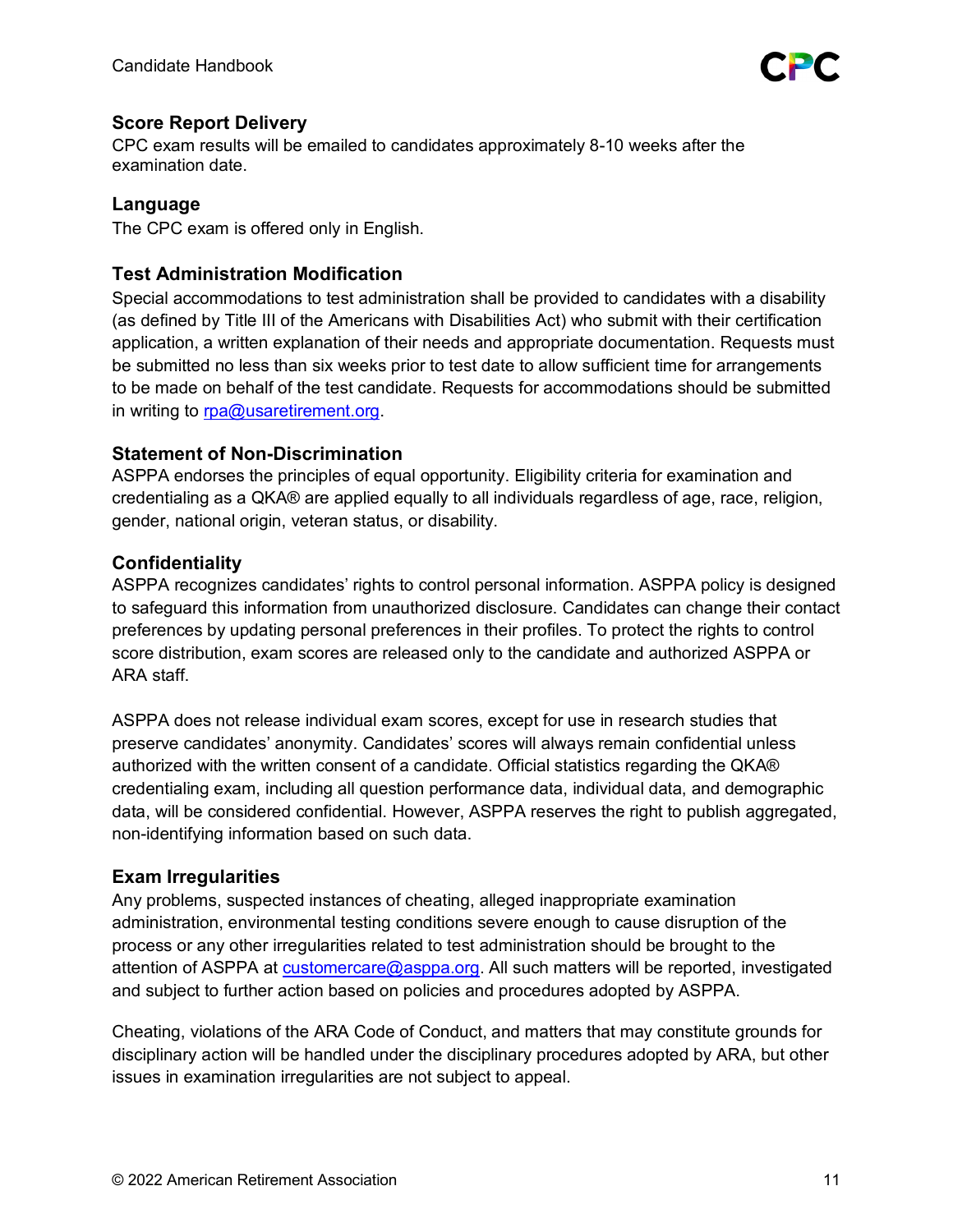# **Score Report Delivery**

CPC exam results will be emailed to candidates approximately 8-10 weeks after the examination date.

# **Language**

The CPC exam is offered only in English.

# **Test Administration Modification**

Special accommodations to test administration shall be provided to candidates with a disability (as defined by Title III of the Americans with Disabilities Act) who submit with their certification application, a written explanation of their needs and appropriate documentation. Requests must be submitted no less than six weeks prior to test date to allow sufficient time for arrangements to be made on behalf of the test candidate. Requests for accommodations should be submitted in writing to [rpa@usaretirement.org.](mailto:rpa@usaretirement.org)

# <span id="page-10-0"></span>**Statement of Non-Discrimination**

ASPPA endorses the principles of equal opportunity. Eligibility criteria for examination and credentialing as a QKA® are applied equally to all individuals regardless of age, race, religion, gender, national origin, veteran status, or disability.

# **Confidentiality**

ASPPA recognizes candidates' rights to control personal information. ASPPA policy is designed to safeguard this information from unauthorized disclosure. Candidates can change their contact preferences by updating personal preferences in their profiles. To protect the rights to control score distribution, exam scores are released only to the candidate and authorized ASPPA or ARA staff.

ASPPA does not release individual exam scores, except for use in research studies that preserve candidates' anonymity. Candidates' scores will always remain confidential unless authorized with the written consent of a candidate. Official statistics regarding the QKA® credentialing exam, including all question performance data, individual data, and demographic data, will be considered confidential. However, ASPPA reserves the right to publish aggregated, non-identifying information based on such data.

# **Exam Irregularities**

Any problems, suspected instances of cheating, alleged inappropriate examination administration, environmental testing conditions severe enough to cause disruption of the process or any other irregularities related to test administration should be brought to the attention of ASPPA at [customercare@asppa.org.](mailto:customercare@asppa.org) All such matters will be reported, investigated and subject to further action based on policies and procedures adopted by ASPPA.

Cheating, violations of the ARA Code of Conduct, and matters that may constitute grounds for disciplinary action will be handled under the disciplinary procedures adopted by ARA, but other issues in examination irregularities are not subject to appeal.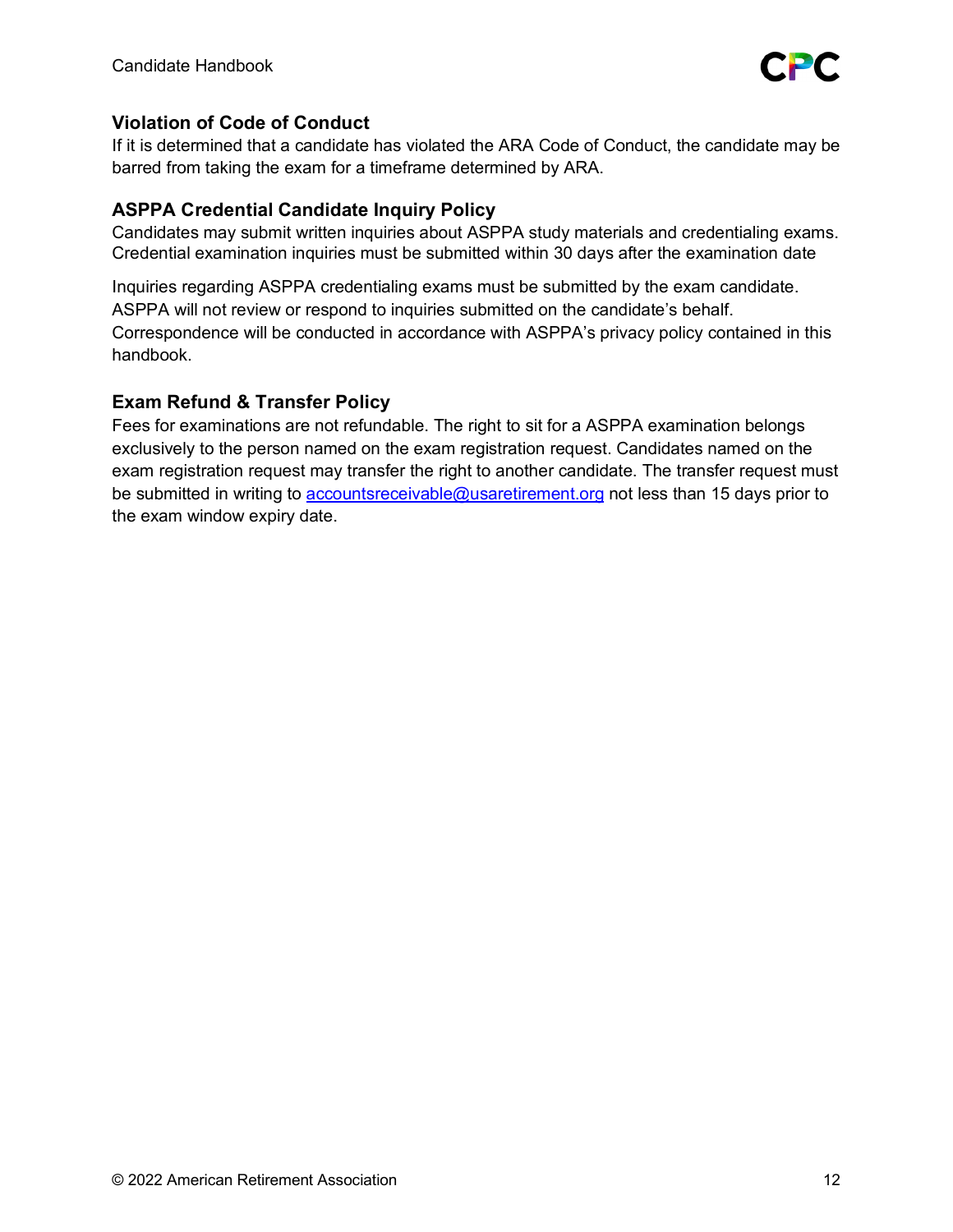

# **Violation of Code of Conduct**

If it is determined that a candidate has violated the ARA Code of Conduct, the candidate may be barred from taking the exam for a timeframe determined by ARA.

# **ASPPA Credential Candidate Inquiry Policy**

Candidates may submit written inquiries about ASPPA study materials and credentialing exams. Credential examination inquiries must be submitted within 30 days after the examination date

Inquiries regarding ASPPA credentialing exams must be submitted by the exam candidate. ASPPA will not review or respond to inquiries submitted on the candidate's behalf. Correspondence will be conducted in accordance with ASPPA's privacy policy contained in this handbook.

# **Exam Refund & Transfer Policy**

Fees for examinations are not refundable. The right to sit for a ASPPA examination belongs exclusively to the person named on the exam registration request. Candidates named on the exam registration request may transfer the right to another candidate. The transfer request must be submitted in writing to [accountsreceivable@usaretirement.org](mailto:accountsreceivable@usaretirement.org) not less than 15 days prior to the exam window expiry date.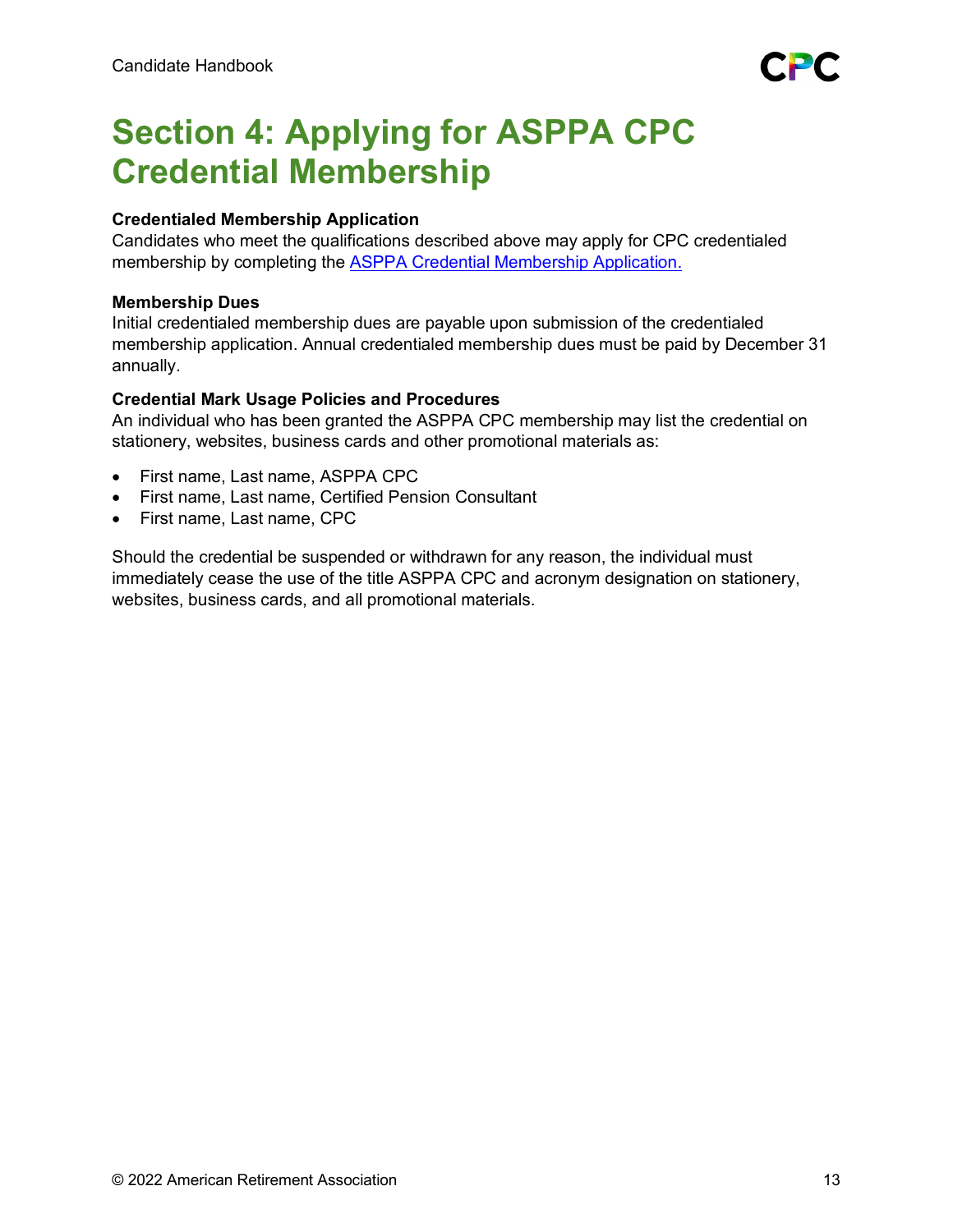# **Section 4: Applying for ASPPA CPC Credential Membership**

# **Credentialed Membership Application**

Candidates who meet the qualifications described above may apply for CPC credentialed membership by completing the [ASPPA Credential Membership Application.](https://www.asppa.org/sites/asppa.org/files/PDFs/Membership_Applications/ASPPA_CredentialedMember_App.pdf)

# **Membership Dues**

Initial credentialed membership dues are payable upon submission of the credentialed membership application. Annual credentialed membership dues must be paid by December 31 annually.

# **Credential Mark Usage Policies and Procedures**

An individual who has been granted the ASPPA CPC membership may list the credential on stationery, websites, business cards and other promotional materials as:

- First name, Last name, ASPPA CPC
- First name, Last name, Certified Pension Consultant
- First name, Last name, CPC

Should the credential be suspended or withdrawn for any reason, the individual must immediately cease the use of the title ASPPA CPC and acronym designation on stationery, websites, business cards, and all promotional materials.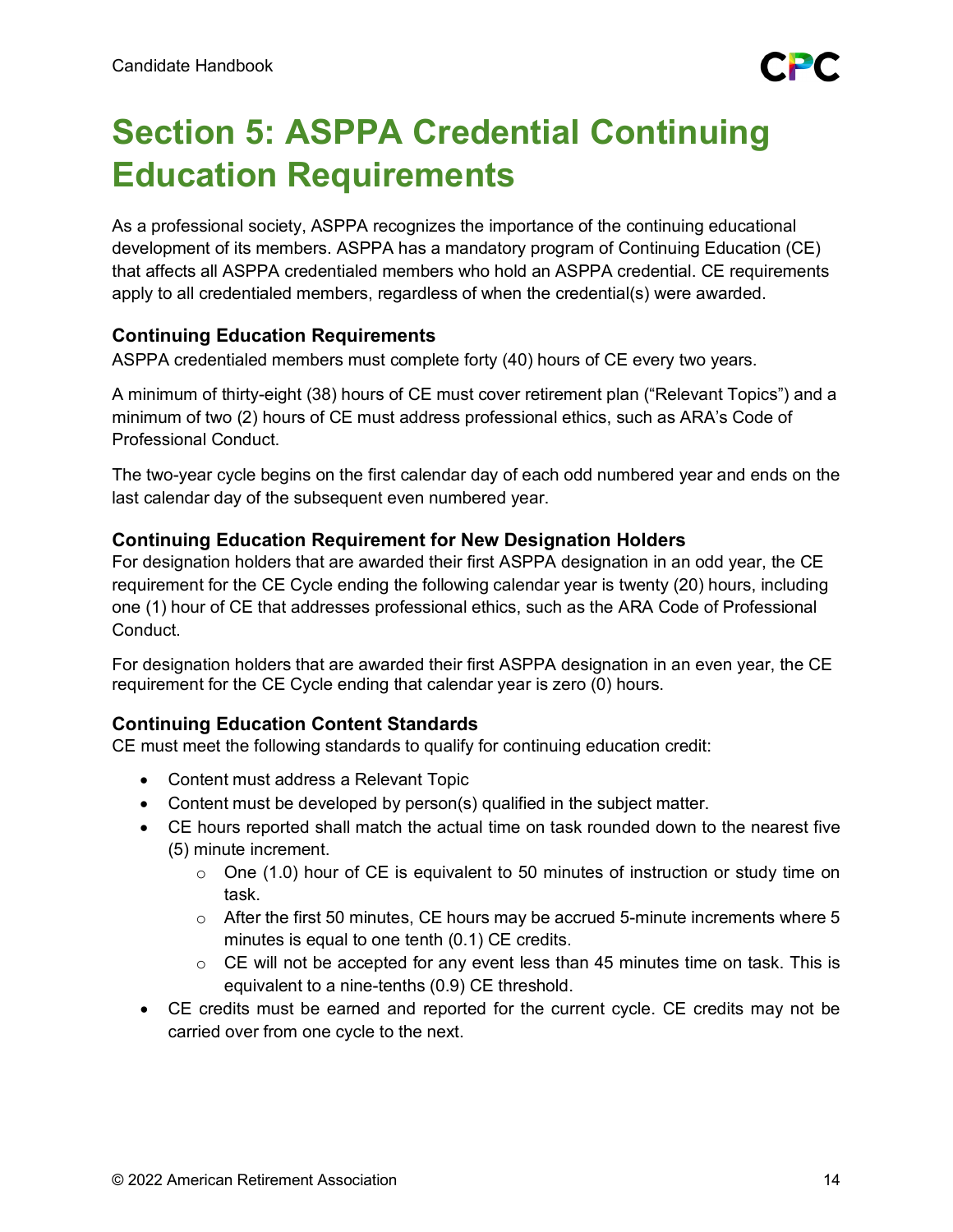

# <span id="page-13-0"></span>**Section 5: ASPPA Credential Continuing Education Requirements**

As a professional society, ASPPA recognizes the importance of the continuing educational development of its members. ASPPA has a mandatory program of Continuing Education (CE) that affects all ASPPA credentialed members who hold an ASPPA credential. CE requirements apply to all credentialed members, regardless of when the credential(s) were awarded.

# **Continuing Education Requirements**

ASPPA credentialed members must complete forty (40) hours of CE every two years.

A minimum of thirty-eight (38) hours of CE must cover retirement plan ("Relevant Topics") and a minimum of two (2) hours of CE must address professional ethics, such as ARA's Code of Professional Conduct.

The two-year cycle begins on the first calendar day of each odd numbered year and ends on the last calendar day of the subsequent even numbered year.

# **Continuing Education Requirement for New Designation Holders**

For designation holders that are awarded their first ASPPA designation in an odd year, the CE requirement for the CE Cycle ending the following calendar year is twenty (20) hours, including one (1) hour of CE that addresses professional ethics, such as the ARA Code of Professional Conduct.

For designation holders that are awarded their first ASPPA designation in an even year, the CE requirement for the CE Cycle ending that calendar year is zero (0) hours.

# **Continuing Education Content Standards**

CE must meet the following standards to qualify for continuing education credit:

- Content must address a Relevant Topic
- Content must be developed by person(s) qualified in the subject matter.
- CE hours reported shall match the actual time on task rounded down to the nearest five (5) minute increment.
	- $\circ$  One (1.0) hour of CE is equivalent to 50 minutes of instruction or study time on task.
	- $\circ$  After the first 50 minutes, CE hours may be accrued 5-minute increments where 5 minutes is equal to one tenth (0.1) CE credits.
	- $\circ$  CE will not be accepted for any event less than 45 minutes time on task. This is equivalent to a nine-tenths (0.9) CE threshold.
- CE credits must be earned and reported for the current cycle. CE credits may not be carried over from one cycle to the next.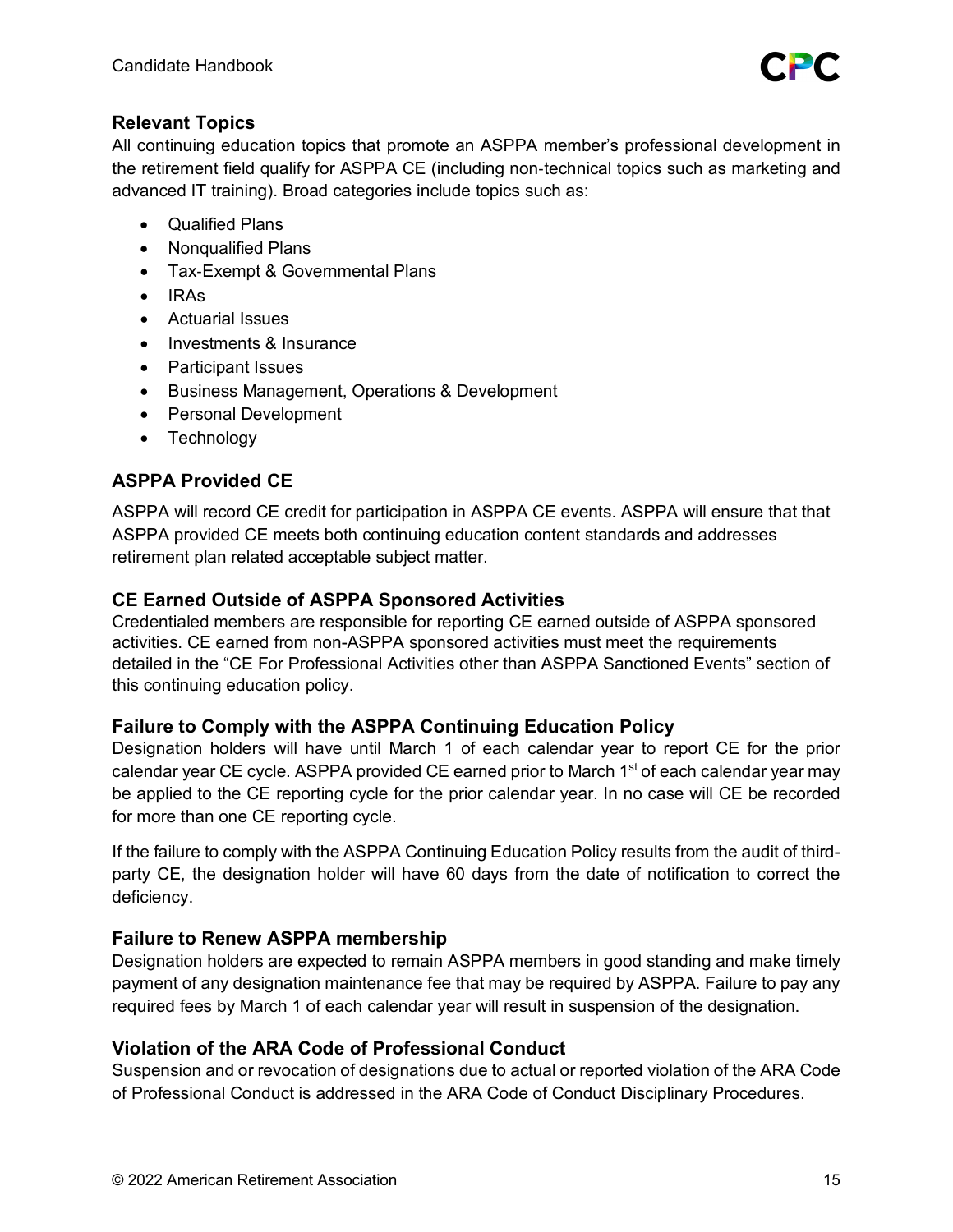

# **Relevant Topics**

All continuing education topics that promote an ASPPA member's professional development in the retirement field qualify for ASPPA CE (including non‐technical topics such as marketing and advanced IT training). Broad categories include topics such as:

- Qualified Plans
- Nonqualified Plans
- Tax‐Exempt & Governmental Plans
- IRAs
- Actuarial Issues
- Investments & Insurance
- Participant Issues
- Business Management, Operations & Development
- Personal Development
- Technology

# **ASPPA Provided CE**

ASPPA will record CE credit for participation in ASPPA CE events. ASPPA will ensure that that ASPPA provided CE meets both continuing education content standards and addresses retirement plan related acceptable subject matter.

# **CE Earned Outside of ASPPA Sponsored Activities**

Credentialed members are responsible for reporting CE earned outside of ASPPA sponsored activities. CE earned from non-ASPPA sponsored activities must meet the requirements detailed in the "CE For Professional Activities other than ASPPA Sanctioned Events" section of this continuing education policy.

# **Failure to Comply with the ASPPA Continuing Education Policy**

Designation holders will have until March 1 of each calendar year to report CE for the prior calendar year CE cycle. ASPPA provided CE earned prior to March 1<sup>st</sup> of each calendar year may be applied to the CE reporting cycle for the prior calendar year. In no case will CE be recorded for more than one CE reporting cycle.

If the failure to comply with the ASPPA Continuing Education Policy results from the audit of thirdparty CE, the designation holder will have 60 days from the date of notification to correct the deficiency.

# **Failure to Renew ASPPA membership**

Designation holders are expected to remain ASPPA members in good standing and make timely payment of any designation maintenance fee that may be required by ASPPA. Failure to pay any required fees by March 1 of each calendar year will result in suspension of the designation.

# **Violation of the ARA Code of Professional Conduct**

Suspension and or revocation of designations due to actual or reported violation of the ARA Code of Professional Conduct is addressed in the ARA Code of Conduct Disciplinary Procedures.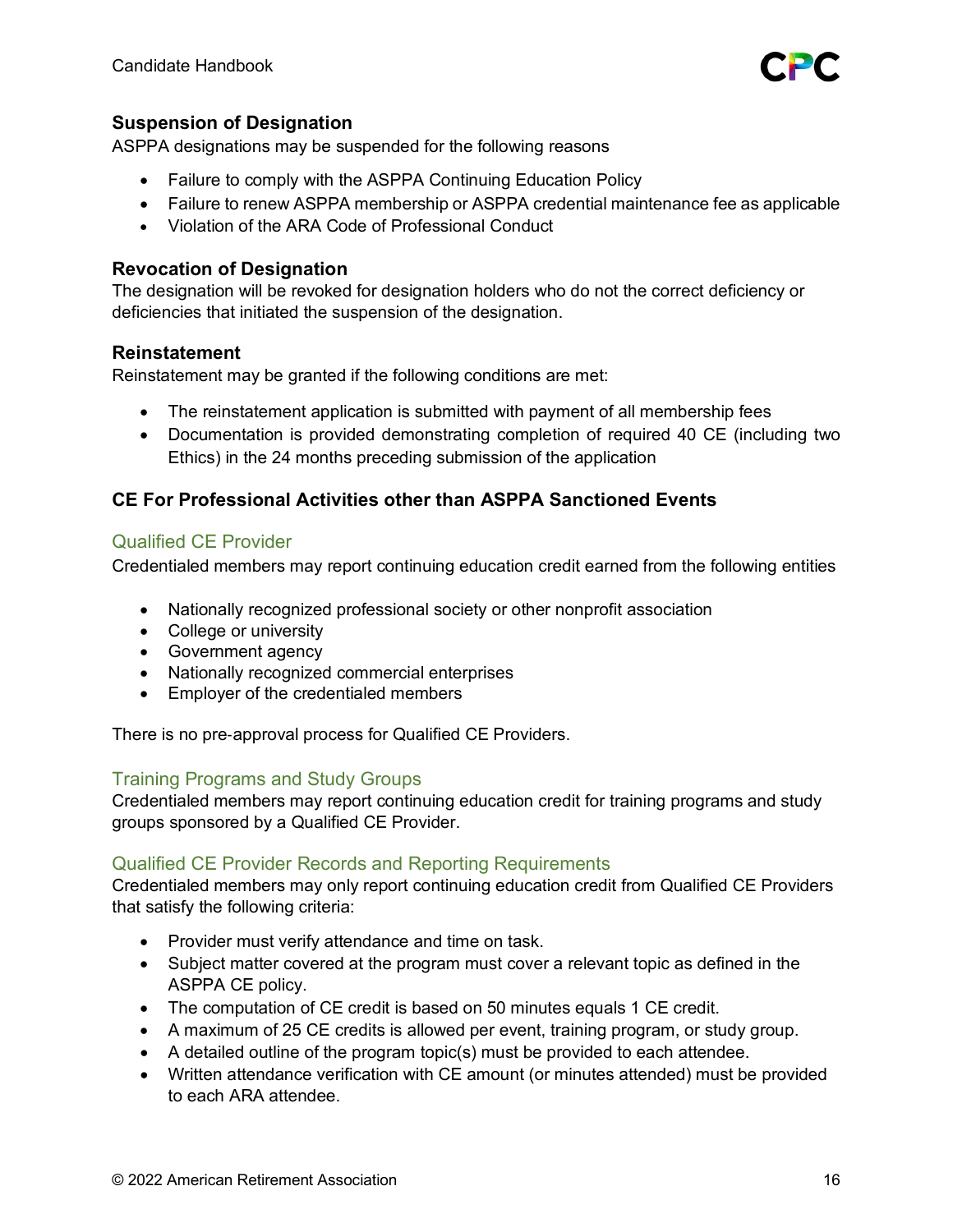

# **Suspension of Designation**

ASPPA designations may be suspended for the following reasons

- Failure to comply with the ASPPA Continuing Education Policy
- Failure to renew ASPPA membership or ASPPA credential maintenance fee as applicable
- Violation of the ARA Code of Professional Conduct

### **Revocation of Designation**

The designation will be revoked for designation holders who do not the correct deficiency or deficiencies that initiated the suspension of the designation.

#### **Reinstatement**

Reinstatement may be granted if the following conditions are met:

- The reinstatement application is submitted with payment of all membership fees
- Documentation is provided demonstrating completion of required 40 CE (including two Ethics) in the 24 months preceding submission of the application

# **CE For Professional Activities other than ASPPA Sanctioned Events**

### Qualified CE Provider

Credentialed members may report continuing education credit earned from the following entities

- Nationally recognized professional society or other nonprofit association
- College or university
- Government agency
- Nationally recognized commercial enterprises
- Employer of the credentialed members

There is no pre‐approval process for Qualified CE Providers.

#### Training Programs and Study Groups

Credentialed members may report continuing education credit for training programs and study groups sponsored by a Qualified CE Provider.

#### Qualified CE Provider Records and Reporting Requirements

Credentialed members may only report continuing education credit from Qualified CE Providers that satisfy the following criteria:

- Provider must verify attendance and time on task.
- Subject matter covered at the program must cover a relevant topic as defined in the ASPPA CE policy.
- The computation of CE credit is based on 50 minutes equals 1 CE credit.
- A maximum of 25 CE credits is allowed per event, training program, or study group.
- A detailed outline of the program topic(s) must be provided to each attendee.
- Written attendance verification with CE amount (or minutes attended) must be provided to each ARA attendee.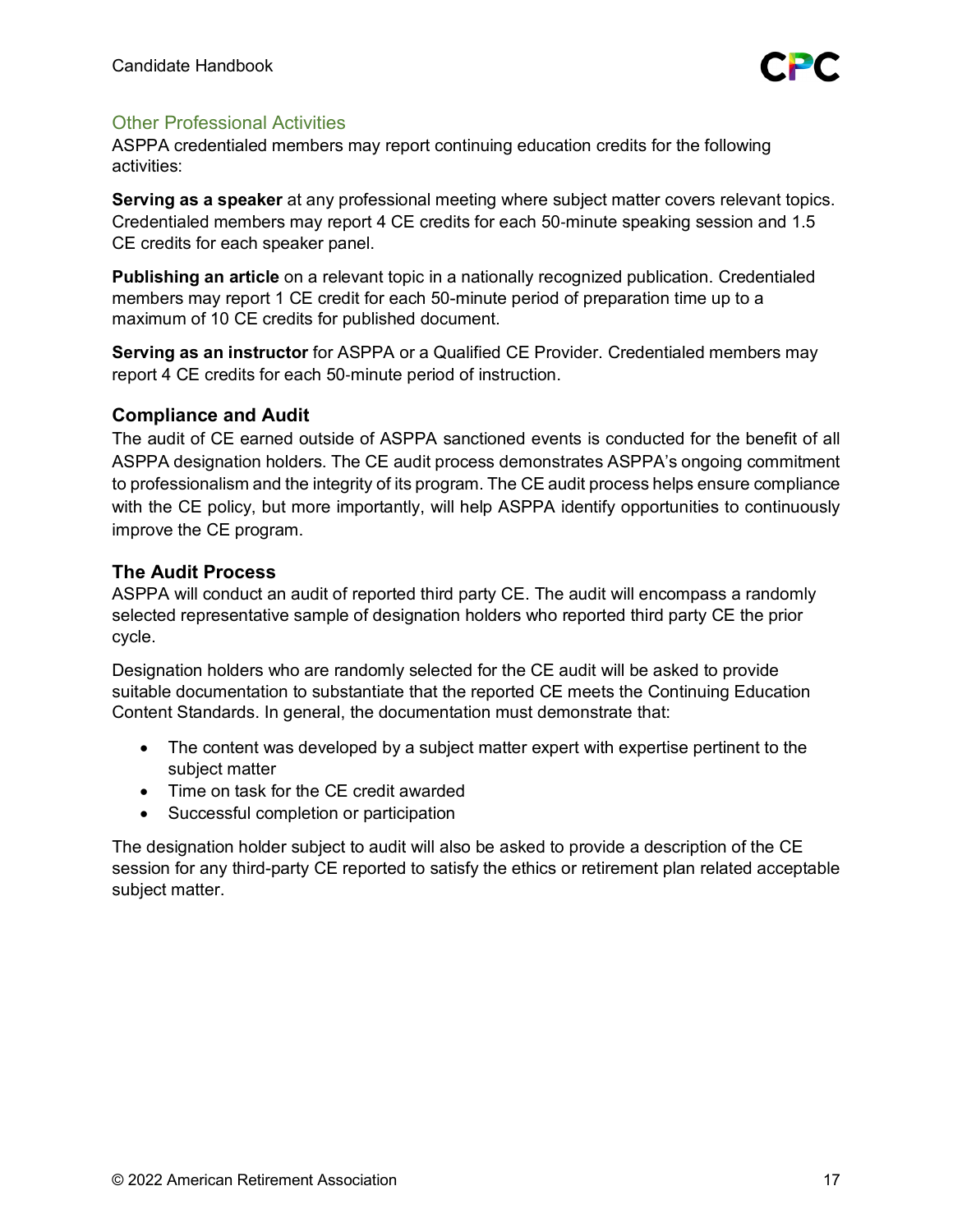

# Other Professional Activities

ASPPA credentialed members may report continuing education credits for the following activities:

**Serving as a speaker** at any professional meeting where subject matter covers relevant topics. Credentialed members may report 4 CE credits for each 50‐minute speaking session and 1.5 CE credits for each speaker panel.

**Publishing an article** on a relevant topic in a nationally recognized publication. Credentialed members may report 1 CE credit for each 50-minute period of preparation time up to a maximum of 10 CE credits for published document.

**Serving as an instructor** for ASPPA or a Qualified CE Provider. Credentialed members may report 4 CE credits for each 50‐minute period of instruction.

#### **Compliance and Audit**

The audit of CE earned outside of ASPPA sanctioned events is conducted for the benefit of all ASPPA designation holders. The CE audit process demonstrates ASPPA's ongoing commitment to professionalism and the integrity of its program. The CE audit process helps ensure compliance with the CE policy, but more importantly, will help ASPPA identify opportunities to continuously improve the CE program.

# **The Audit Process**

ASPPA will conduct an audit of reported third party CE. The audit will encompass a randomly selected representative sample of designation holders who reported third party CE the prior cycle.

Designation holders who are randomly selected for the CE audit will be asked to provide suitable documentation to substantiate that the reported CE meets the Continuing Education Content Standards. In general, the documentation must demonstrate that:

- The content was developed by a subject matter expert with expertise pertinent to the subject matter
- Time on task for the CE credit awarded
- Successful completion or participation

The designation holder subject to audit will also be asked to provide a description of the CE session for any third-party CE reported to satisfy the ethics or retirement plan related acceptable subject matter.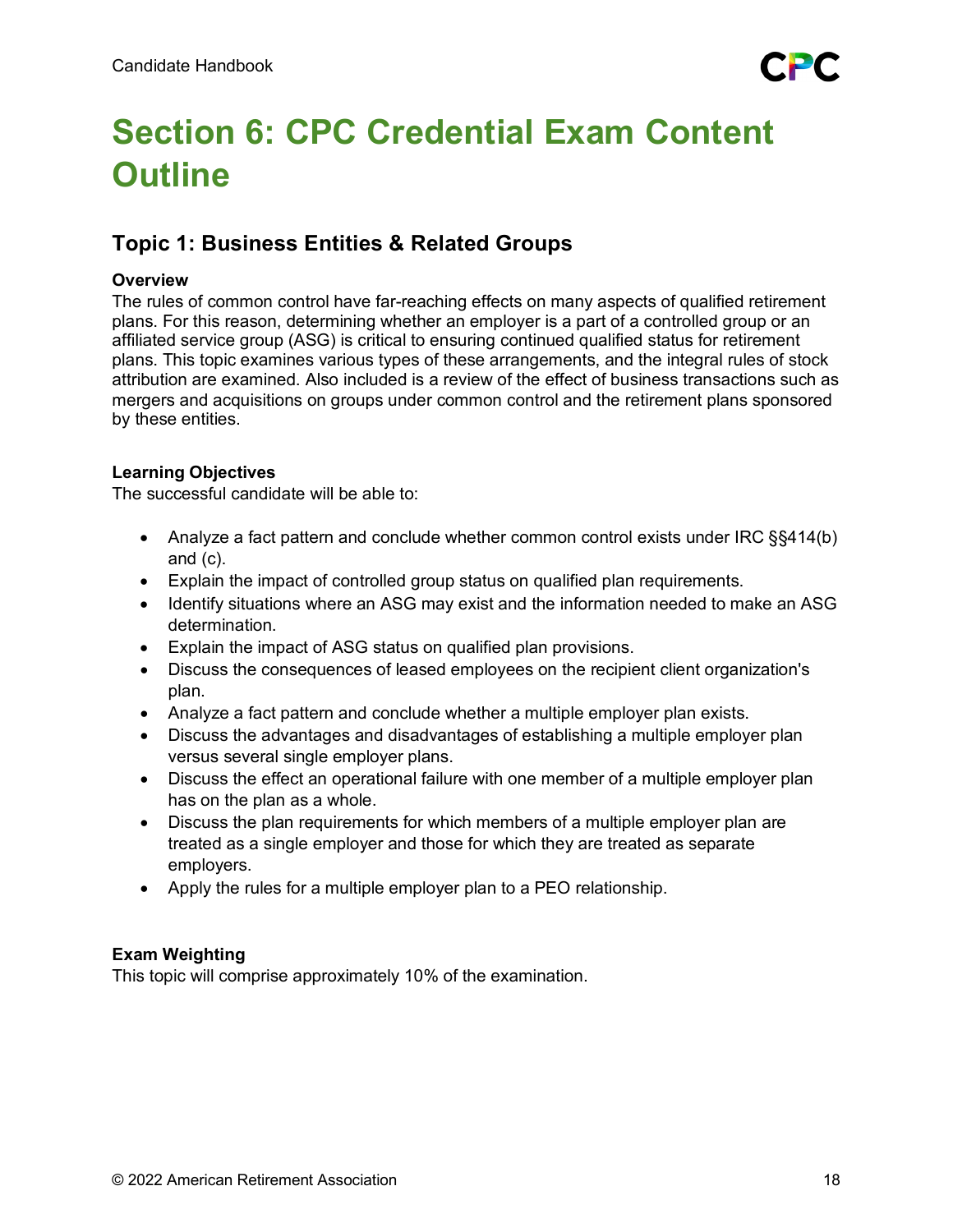# <span id="page-17-0"></span>**Section 6: CPC Credential Exam Content Outline**

# **Topic 1: Business Entities & Related Groups**

# **Overview**

The rules of common control have far-reaching effects on many aspects of qualified retirement plans. For this reason, determining whether an employer is a part of a controlled group or an affiliated service group (ASG) is critical to ensuring continued qualified status for retirement plans. This topic examines various types of these arrangements, and the integral rules of stock attribution are examined. Also included is a review of the effect of business transactions such as mergers and acquisitions on groups under common control and the retirement plans sponsored by these entities.

# **Learning Objectives**

The successful candidate will be able to:

- Analyze a fact pattern and conclude whether common control exists under IRC §§414(b) and (c).
- Explain the impact of controlled group status on qualified plan requirements.
- Identify situations where an ASG may exist and the information needed to make an ASG determination.
- Explain the impact of ASG status on qualified plan provisions.
- Discuss the consequences of leased employees on the recipient client organization's plan.
- Analyze a fact pattern and conclude whether a multiple employer plan exists.
- Discuss the advantages and disadvantages of establishing a multiple employer plan versus several single employer plans.
- Discuss the effect an operational failure with one member of a multiple employer plan has on the plan as a whole.
- Discuss the plan requirements for which members of a multiple employer plan are treated as a single employer and those for which they are treated as separate employers.
- Apply the rules for a multiple employer plan to a PEO relationship.

# **Exam Weighting**

This topic will comprise approximately 10% of the examination.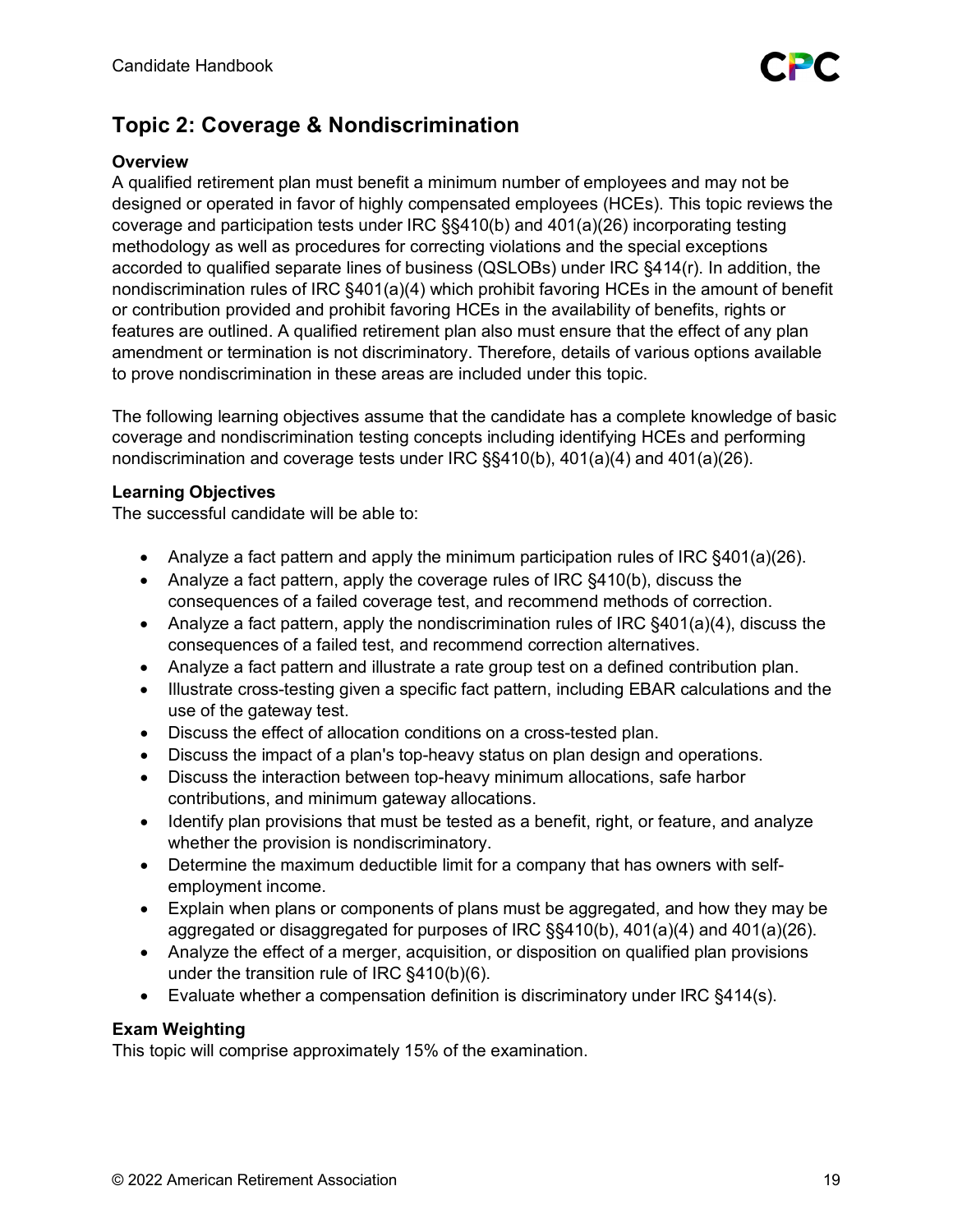

# **Topic 2: Coverage & Nondiscrimination**

# **Overview**

A qualified retirement plan must benefit a minimum number of employees and may not be designed or operated in favor of highly compensated employees (HCEs). This topic reviews the coverage and participation tests under IRC §§410(b) and 401(a)(26) incorporating testing methodology as well as procedures for correcting violations and the special exceptions accorded to qualified separate lines of business (QSLOBs) under IRC §414(r). In addition, the nondiscrimination rules of IRC §401(a)(4) which prohibit favoring HCEs in the amount of benefit or contribution provided and prohibit favoring HCEs in the availability of benefits, rights or features are outlined. A qualified retirement plan also must ensure that the effect of any plan amendment or termination is not discriminatory. Therefore, details of various options available to prove nondiscrimination in these areas are included under this topic.

The following learning objectives assume that the candidate has a complete knowledge of basic coverage and nondiscrimination testing concepts including identifying HCEs and performing nondiscrimination and coverage tests under IRC §§410(b), 401(a)(4) and 401(a)(26).

# **Learning Objectives**

The successful candidate will be able to:

- Analyze a fact pattern and apply the minimum participation rules of IRC §401(a)(26).
- Analyze a fact pattern, apply the coverage rules of IRC §410(b), discuss the consequences of a failed coverage test, and recommend methods of correction.
- Analyze a fact pattern, apply the nondiscrimination rules of IRC §401(a)(4), discuss the consequences of a failed test, and recommend correction alternatives.
- Analyze a fact pattern and illustrate a rate group test on a defined contribution plan.
- Illustrate cross-testing given a specific fact pattern, including EBAR calculations and the use of the gateway test.
- Discuss the effect of allocation conditions on a cross-tested plan.
- Discuss the impact of a plan's top-heavy status on plan design and operations.
- Discuss the interaction between top-heavy minimum allocations, safe harbor contributions, and minimum gateway allocations.
- Identify plan provisions that must be tested as a benefit, right, or feature, and analyze whether the provision is nondiscriminatory.
- Determine the maximum deductible limit for a company that has owners with selfemployment income.
- Explain when plans or components of plans must be aggregated, and how they may be aggregated or disaggregated for purposes of IRC §§410(b), 401(a)(4) and 401(a)(26).
- Analyze the effect of a merger, acquisition, or disposition on qualified plan provisions under the transition rule of IRC §410(b)(6).
- Evaluate whether a compensation definition is discriminatory under IRC §414(s).

# **Exam Weighting**

This topic will comprise approximately 15% of the examination.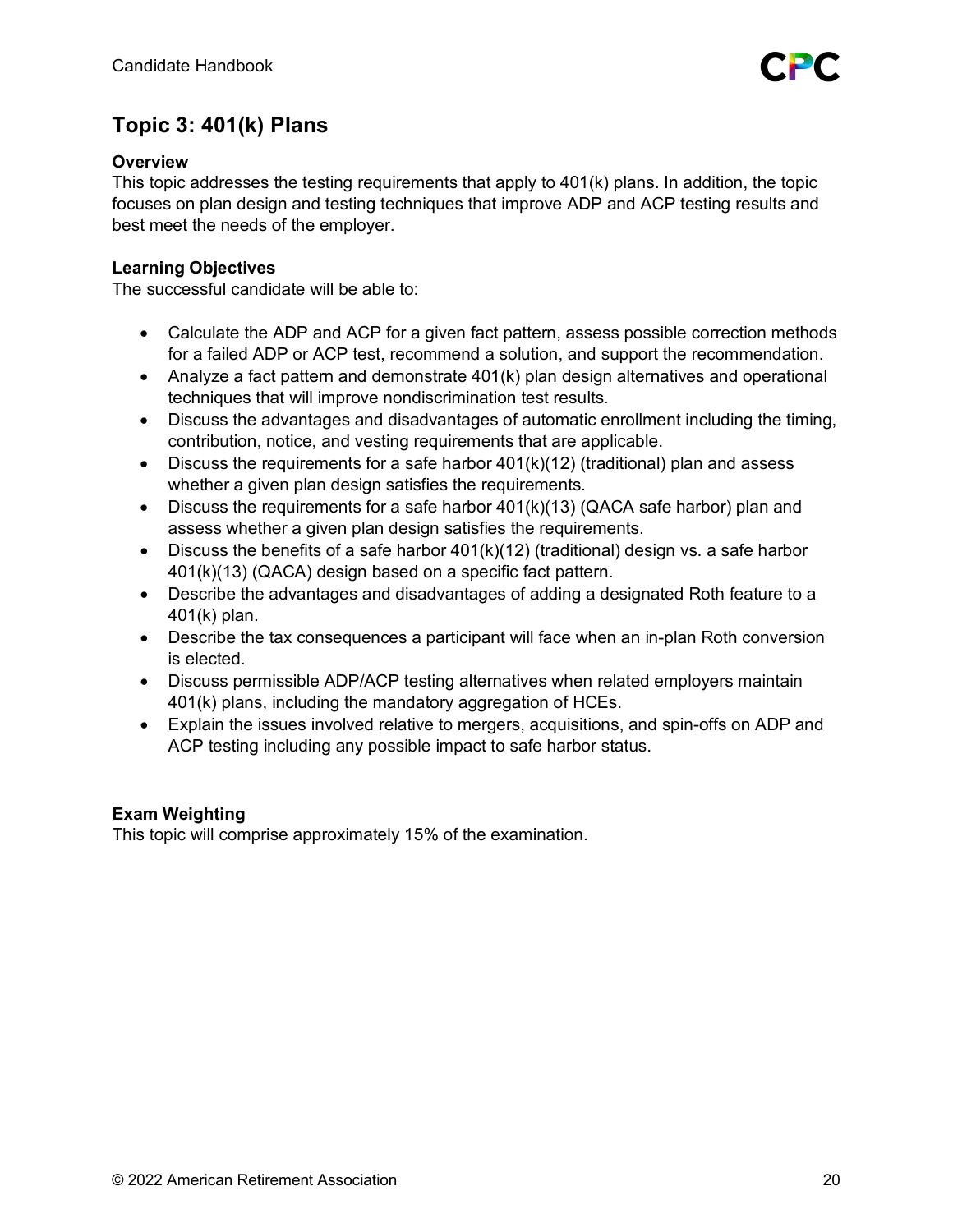# **Topic 3: 401(k) Plans**

# **Overview**

This topic addresses the testing requirements that apply to 401(k) plans. In addition, the topic focuses on plan design and testing techniques that improve ADP and ACP testing results and best meet the needs of the employer.

# **Learning Objectives**

The successful candidate will be able to:

- Calculate the ADP and ACP for a given fact pattern, assess possible correction methods for a failed ADP or ACP test, recommend a solution, and support the recommendation.
- Analyze a fact pattern and demonstrate 401(k) plan design alternatives and operational techniques that will improve nondiscrimination test results.
- Discuss the advantages and disadvantages of automatic enrollment including the timing, contribution, notice, and vesting requirements that are applicable.
- Discuss the requirements for a safe harbor  $401(k)(12)$  (traditional) plan and assess whether a given plan design satisfies the requirements.
- Discuss the requirements for a safe harbor  $401(k)(13)$  (QACA safe harbor) plan and assess whether a given plan design satisfies the requirements.
- Discuss the benefits of a safe harbor  $401(k)(12)$  (traditional) design vs. a safe harbor 401(k)(13) (QACA) design based on a specific fact pattern.
- Describe the advantages and disadvantages of adding a designated Roth feature to a 401(k) plan.
- Describe the tax consequences a participant will face when an in-plan Roth conversion is elected.
- Discuss permissible ADP/ACP testing alternatives when related employers maintain 401(k) plans, including the mandatory aggregation of HCEs.
- Explain the issues involved relative to mergers, acquisitions, and spin-offs on ADP and ACP testing including any possible impact to safe harbor status.

# **Exam Weighting**

This topic will comprise approximately 15% of the examination.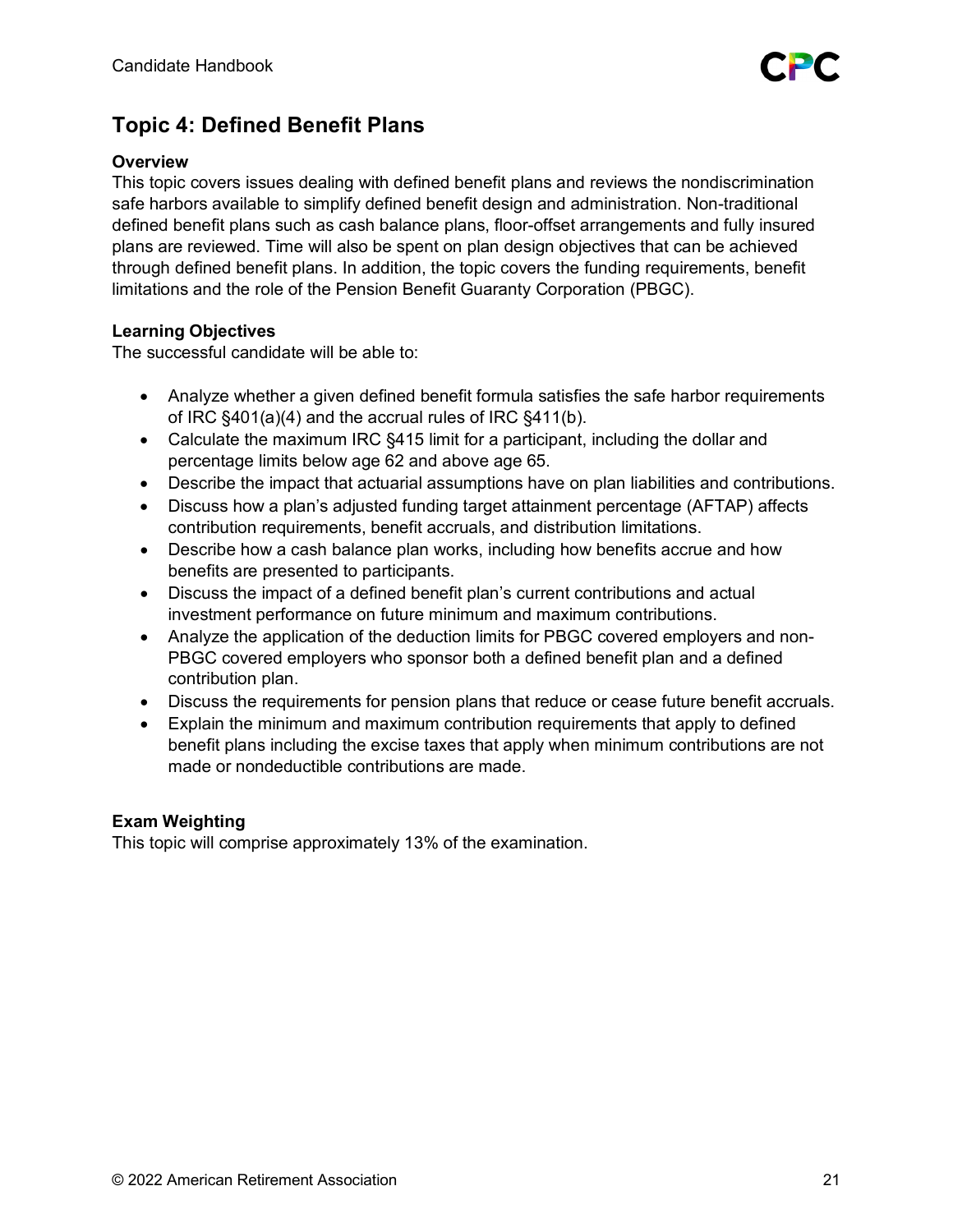

# **Topic 4: Defined Benefit Plans**

### **Overview**

This topic covers issues dealing with defined benefit plans and reviews the nondiscrimination safe harbors available to simplify defined benefit design and administration. Non-traditional defined benefit plans such as cash balance plans, floor-offset arrangements and fully insured plans are reviewed. Time will also be spent on plan design objectives that can be achieved through defined benefit plans. In addition, the topic covers the funding requirements, benefit limitations and the role of the Pension Benefit Guaranty Corporation (PBGC).

# **Learning Objectives**

The successful candidate will be able to:

- Analyze whether a given defined benefit formula satisfies the safe harbor requirements of IRC §401(a)(4) and the accrual rules of IRC §411(b).
- Calculate the maximum IRC §415 limit for a participant, including the dollar and percentage limits below age 62 and above age 65.
- Describe the impact that actuarial assumptions have on plan liabilities and contributions.
- Discuss how a plan's adjusted funding target attainment percentage (AFTAP) affects contribution requirements, benefit accruals, and distribution limitations.
- Describe how a cash balance plan works, including how benefits accrue and how benefits are presented to participants.
- Discuss the impact of a defined benefit plan's current contributions and actual investment performance on future minimum and maximum contributions.
- Analyze the application of the deduction limits for PBGC covered employers and non-PBGC covered employers who sponsor both a defined benefit plan and a defined contribution plan.
- Discuss the requirements for pension plans that reduce or cease future benefit accruals.
- Explain the minimum and maximum contribution requirements that apply to defined benefit plans including the excise taxes that apply when minimum contributions are not made or nondeductible contributions are made.

#### **Exam Weighting**

This topic will comprise approximately 13% of the examination.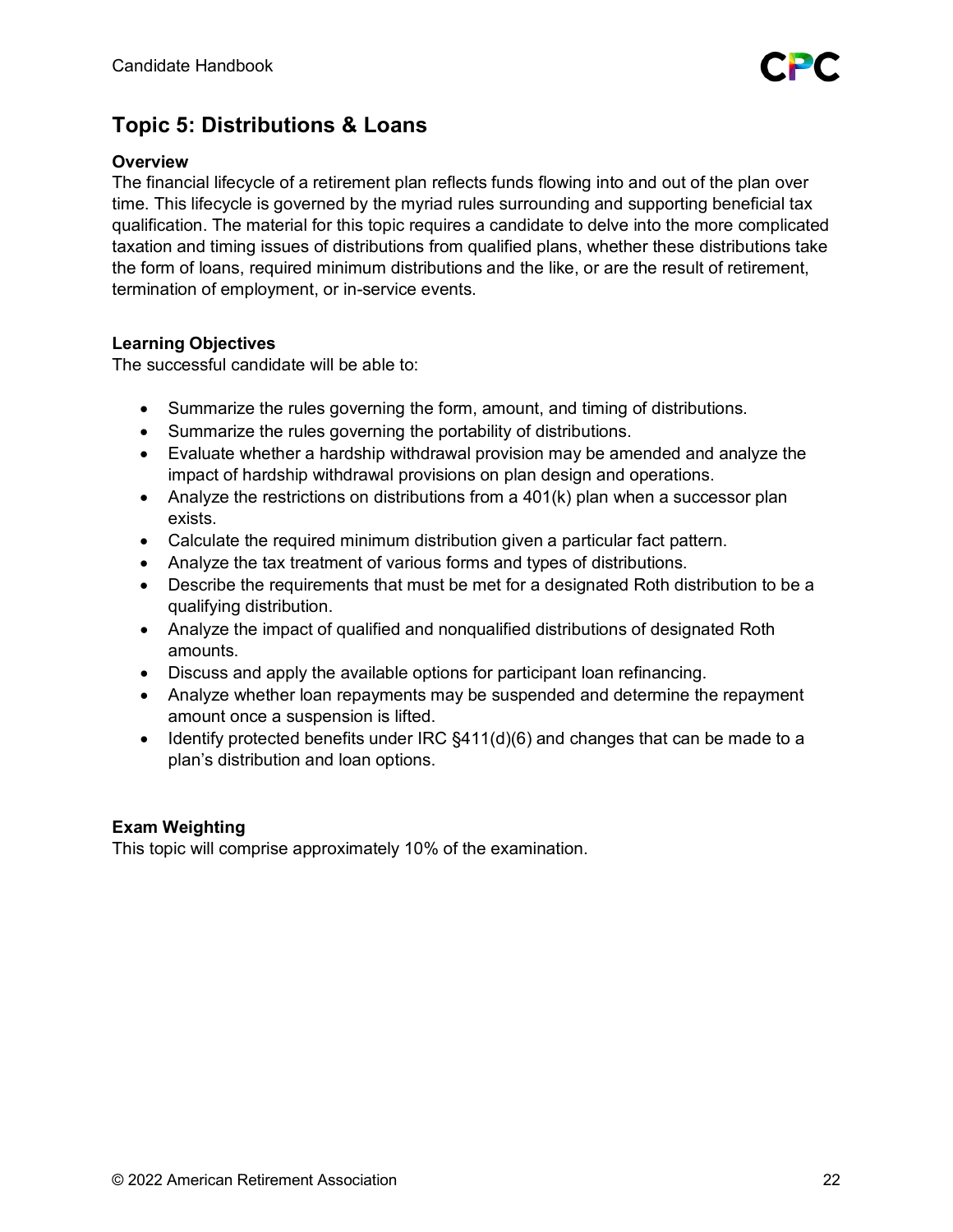

# **Topic 5: Distributions & Loans**

### **Overview**

The financial lifecycle of a retirement plan reflects funds flowing into and out of the plan over time. This lifecycle is governed by the myriad rules surrounding and supporting beneficial tax qualification. The material for this topic requires a candidate to delve into the more complicated taxation and timing issues of distributions from qualified plans, whether these distributions take the form of loans, required minimum distributions and the like, or are the result of retirement, termination of employment, or in-service events.

# **Learning Objectives**

The successful candidate will be able to:

- Summarize the rules governing the form, amount, and timing of distributions.
- Summarize the rules governing the portability of distributions.
- Evaluate whether a hardship withdrawal provision may be amended and analyze the impact of hardship withdrawal provisions on plan design and operations.
- Analyze the restrictions on distributions from a 401(k) plan when a successor plan exists.
- Calculate the required minimum distribution given a particular fact pattern.
- Analyze the tax treatment of various forms and types of distributions.
- Describe the requirements that must be met for a designated Roth distribution to be a qualifying distribution.
- Analyze the impact of qualified and nonqualified distributions of designated Roth amounts.
- Discuss and apply the available options for participant loan refinancing.
- Analyze whether loan repayments may be suspended and determine the repayment amount once a suspension is lifted.
- Identify protected benefits under IRC §411(d)(6) and changes that can be made to a plan's distribution and loan options.

# **Exam Weighting**

This topic will comprise approximately 10% of the examination.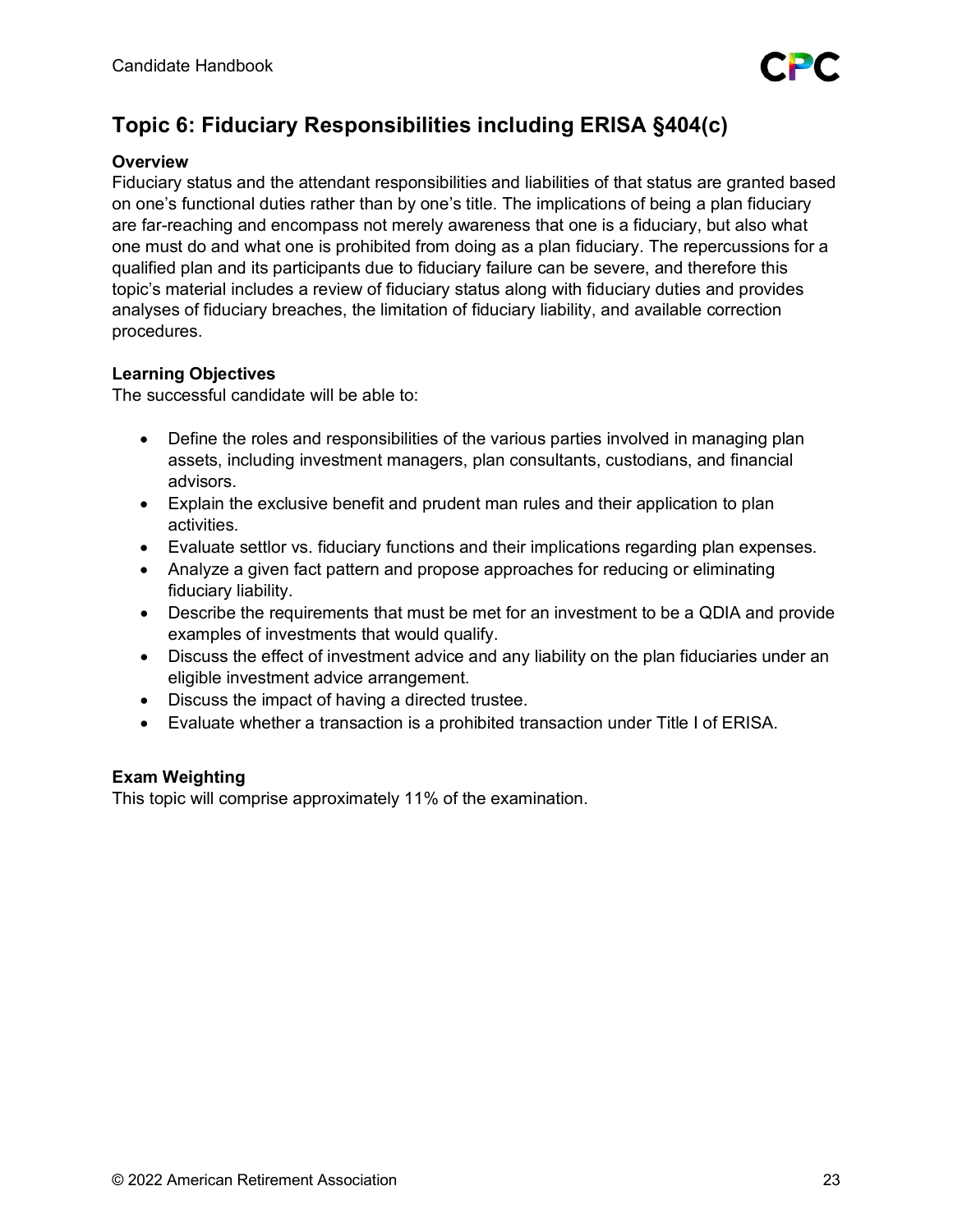# **Topic 6: Fiduciary Responsibilities including ERISA §404(c)**

# **Overview**

Fiduciary status and the attendant responsibilities and liabilities of that status are granted based on one's functional duties rather than by one's title. The implications of being a plan fiduciary are far-reaching and encompass not merely awareness that one is a fiduciary, but also what one must do and what one is prohibited from doing as a plan fiduciary. The repercussions for a qualified plan and its participants due to fiduciary failure can be severe, and therefore this topic's material includes a review of fiduciary status along with fiduciary duties and provides analyses of fiduciary breaches, the limitation of fiduciary liability, and available correction procedures.

# **Learning Objectives**

The successful candidate will be able to:

- Define the roles and responsibilities of the various parties involved in managing plan assets, including investment managers, plan consultants, custodians, and financial advisors.
- Explain the exclusive benefit and prudent man rules and their application to plan activities.
- Evaluate settlor vs. fiduciary functions and their implications regarding plan expenses.
- Analyze a given fact pattern and propose approaches for reducing or eliminating fiduciary liability.
- Describe the requirements that must be met for an investment to be a QDIA and provide examples of investments that would qualify.
- Discuss the effect of investment advice and any liability on the plan fiduciaries under an eligible investment advice arrangement.
- Discuss the impact of having a directed trustee.
- Evaluate whether a transaction is a prohibited transaction under Title I of ERISA.

# **Exam Weighting**

This topic will comprise approximately 11% of the examination.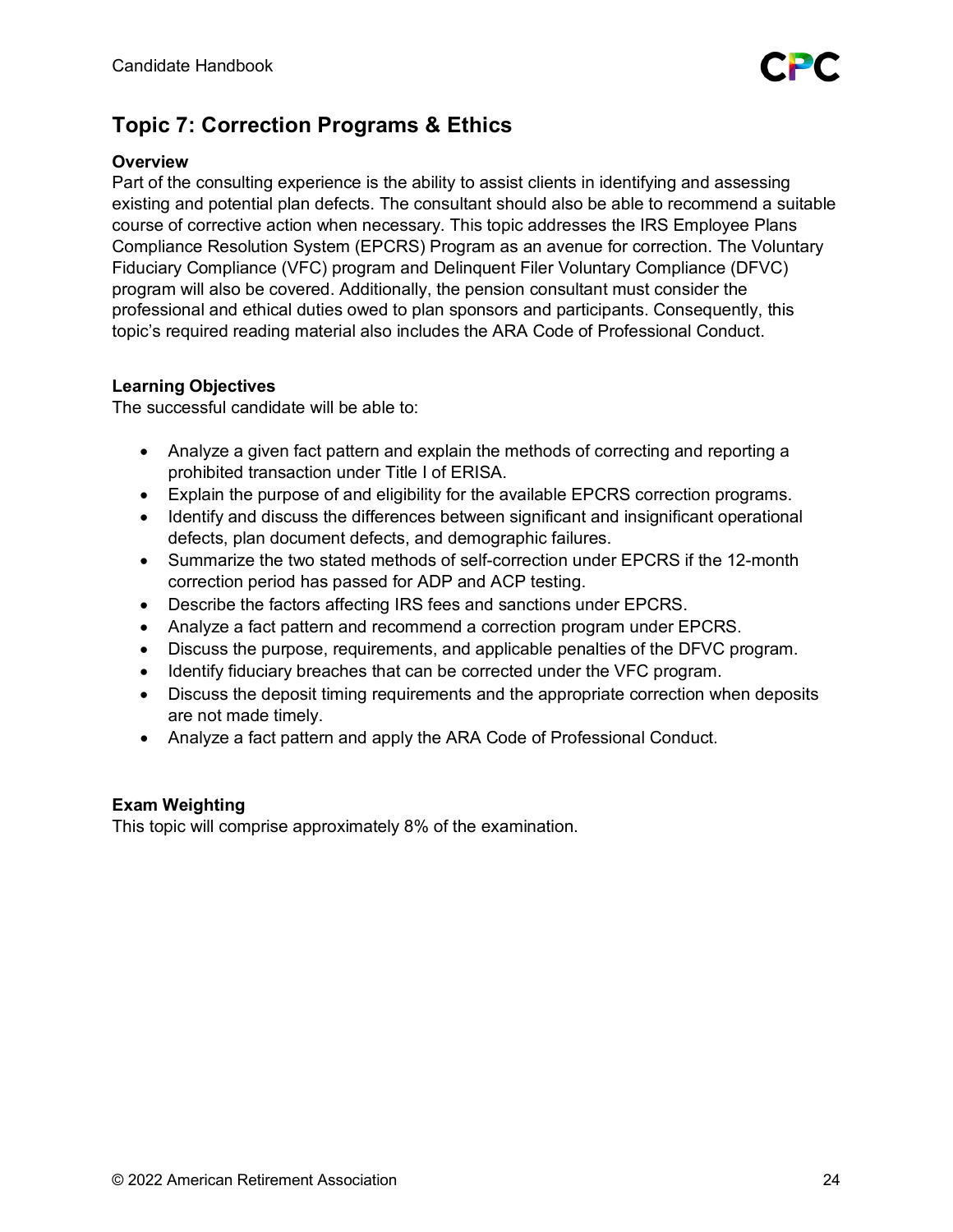# **Topic 7: Correction Programs & Ethics**

# **Overview**

Part of the consulting experience is the ability to assist clients in identifying and assessing existing and potential plan defects. The consultant should also be able to recommend a suitable course of corrective action when necessary. This topic addresses the IRS Employee Plans Compliance Resolution System (EPCRS) Program as an avenue for correction. The Voluntary Fiduciary Compliance (VFC) program and Delinquent Filer Voluntary Compliance (DFVC) program will also be covered. Additionally, the pension consultant must consider the professional and ethical duties owed to plan sponsors and participants. Consequently, this topic's required reading material also includes the ARA Code of Professional Conduct.

# **Learning Objectives**

The successful candidate will be able to:

- Analyze a given fact pattern and explain the methods of correcting and reporting a prohibited transaction under Title I of ERISA.
- Explain the purpose of and eligibility for the available EPCRS correction programs.
- Identify and discuss the differences between significant and insignificant operational defects, plan document defects, and demographic failures.
- Summarize the two stated methods of self-correction under EPCRS if the 12-month correction period has passed for ADP and ACP testing.
- Describe the factors affecting IRS fees and sanctions under EPCRS.
- Analyze a fact pattern and recommend a correction program under EPCRS.
- Discuss the purpose, requirements, and applicable penalties of the DFVC program.
- Identify fiduciary breaches that can be corrected under the VFC program.
- Discuss the deposit timing requirements and the appropriate correction when deposits are not made timely.
- Analyze a fact pattern and apply the ARA Code of Professional Conduct.

# **Exam Weighting**

This topic will comprise approximately 8% of the examination.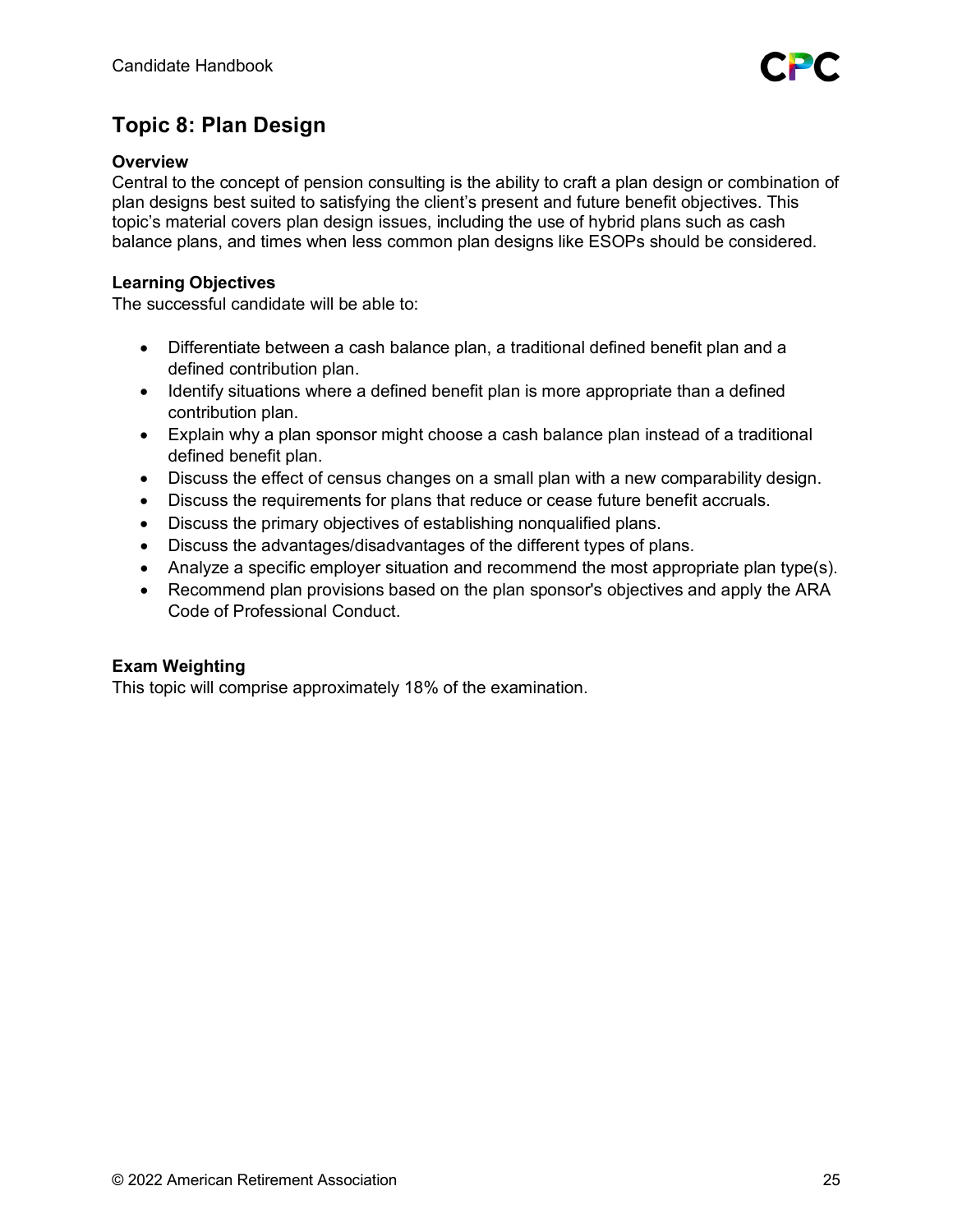# **Topic 8: Plan Design**

# **Overview**

Central to the concept of pension consulting is the ability to craft a plan design or combination of plan designs best suited to satisfying the client's present and future benefit objectives. This topic's material covers plan design issues, including the use of hybrid plans such as cash balance plans, and times when less common plan designs like ESOPs should be considered.

# **Learning Objectives**

The successful candidate will be able to:

- Differentiate between a cash balance plan, a traditional defined benefit plan and a defined contribution plan.
- Identify situations where a defined benefit plan is more appropriate than a defined contribution plan.
- Explain why a plan sponsor might choose a cash balance plan instead of a traditional defined benefit plan.
- Discuss the effect of census changes on a small plan with a new comparability design.
- Discuss the requirements for plans that reduce or cease future benefit accruals.
- Discuss the primary objectives of establishing nonqualified plans.
- Discuss the advantages/disadvantages of the different types of plans.
- Analyze a specific employer situation and recommend the most appropriate plan type(s).
- Recommend plan provisions based on the plan sponsor's objectives and apply the ARA Code of Professional Conduct.

# **Exam Weighting**

This topic will comprise approximately 18% of the examination.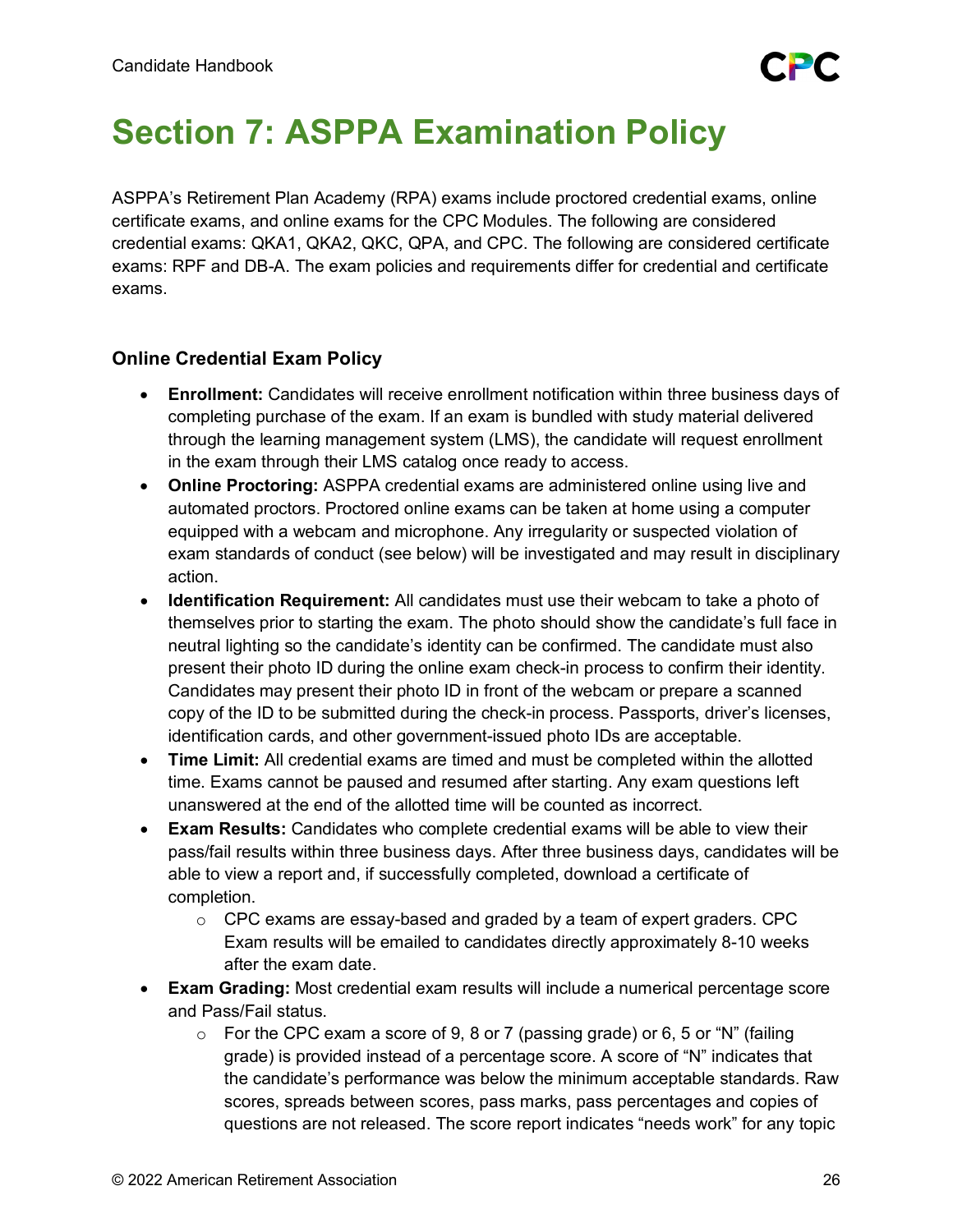# <span id="page-25-0"></span>**Section 7: ASPPA Examination Policy**

ASPPA's Retirement Plan Academy (RPA) exams include proctored credential exams, online certificate exams, and online exams for the CPC Modules. The following are considered credential exams: QKA1, QKA2, QKC, QPA, and CPC. The following are considered certificate exams: RPF and DB-A. The exam policies and requirements differ for credential and certificate exams.

# **Online Credential Exam Policy**

- **Enrollment:** Candidates will receive enrollment notification within three business days of completing purchase of the exam. If an exam is bundled with study material delivered through the learning management system (LMS), the candidate will request enrollment in the exam through their LMS catalog once ready to access.
- **Online Proctoring:** ASPPA credential exams are administered online using live and automated proctors. Proctored online exams can be taken at home using a computer equipped with a webcam and microphone. Any irregularity or suspected violation of exam standards of conduct (see below) will be investigated and may result in disciplinary action.
- **Identification Requirement:** All candidates must use their webcam to take a photo of themselves prior to starting the exam. The photo should show the candidate's full face in neutral lighting so the candidate's identity can be confirmed. The candidate must also present their photo ID during the online exam check-in process to confirm their identity. Candidates may present their photo ID in front of the webcam or prepare a scanned copy of the ID to be submitted during the check-in process. Passports, driver's licenses, identification cards, and other government-issued photo IDs are acceptable.
- **Time Limit:** All credential exams are timed and must be completed within the allotted time. Exams cannot be paused and resumed after starting. Any exam questions left unanswered at the end of the allotted time will be counted as incorrect.
- **Exam Results:** Candidates who complete credential exams will be able to view their pass/fail results within three business days. After three business days, candidates will be able to view a report and, if successfully completed, download a certificate of completion.
	- $\circ$  CPC exams are essay-based and graded by a team of expert graders. CPC Exam results will be emailed to candidates directly approximately 8-10 weeks after the exam date.
- **Exam Grading:** Most credential exam results will include a numerical percentage score and Pass/Fail status.
	- $\circ$  For the CPC exam a score of 9, 8 or 7 (passing grade) or 6, 5 or "N" (failing grade) is provided instead of a percentage score. A score of "N" indicates that the candidate's performance was below the minimum acceptable standards. Raw scores, spreads between scores, pass marks, pass percentages and copies of questions are not released. The score report indicates "needs work" for any topic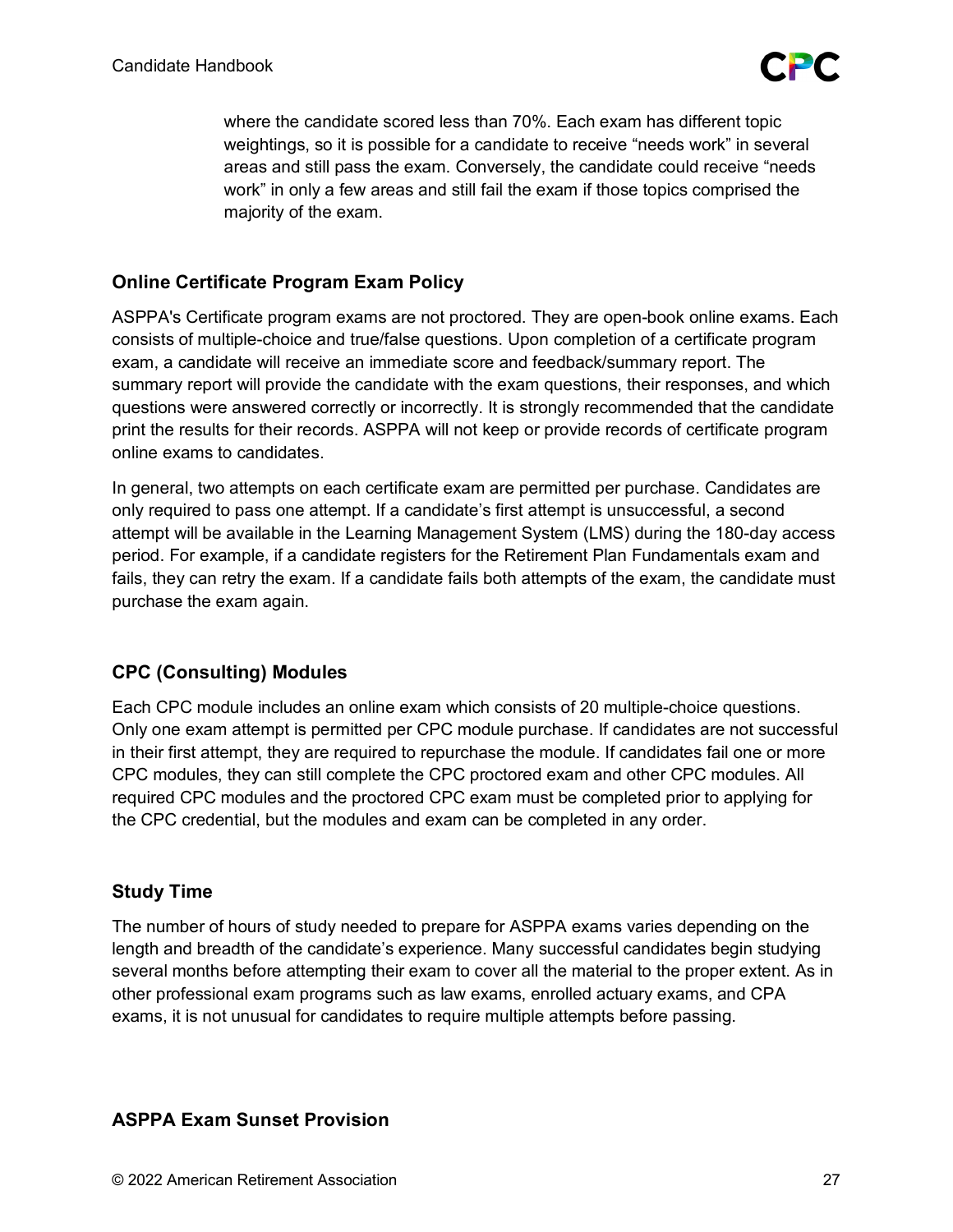

where the candidate scored less than 70%. Each exam has different topic weightings, so it is possible for a candidate to receive "needs work" in several areas and still pass the exam. Conversely, the candidate could receive "needs work" in only a few areas and still fail the exam if those topics comprised the majority of the exam.

# **Online Certificate Program Exam Policy**

ASPPA's Certificate program exams are not proctored. They are open-book online exams. Each consists of multiple-choice and true/false questions. Upon completion of a certificate program exam, a candidate will receive an immediate score and feedback/summary report. The summary report will provide the candidate with the exam questions, their responses, and which questions were answered correctly or incorrectly. It is strongly recommended that the candidate print the results for their records. ASPPA will not keep or provide records of certificate program online exams to candidates.

In general, two attempts on each certificate exam are permitted per purchase. Candidates are only required to pass one attempt. If a candidate's first attempt is unsuccessful, a second attempt will be available in the Learning Management System (LMS) during the 180-day access period. For example, if a candidate registers for the Retirement Plan Fundamentals exam and fails, they can retry the exam. If a candidate fails both attempts of the exam, the candidate must purchase the exam again.

# **CPC (Consulting) Modules**

Each CPC module includes an online exam which consists of 20 multiple-choice questions. Only one exam attempt is permitted per CPC module purchase. If candidates are not successful in their first attempt, they are required to repurchase the module. If candidates fail one or more CPC modules, they can still complete the CPC proctored exam and other CPC modules. All required CPC modules and the proctored CPC exam must be completed prior to applying for the CPC credential, but the modules and exam can be completed in any order.

# **Study Time**

The number of hours of study needed to prepare for ASPPA exams varies depending on the length and breadth of the candidate's experience. Many successful candidates begin studying several months before attempting their exam to cover all the material to the proper extent. As in other professional exam programs such as law exams, enrolled actuary exams, and CPA exams, it is not unusual for candidates to require multiple attempts before passing.

# **ASPPA Exam Sunset Provision**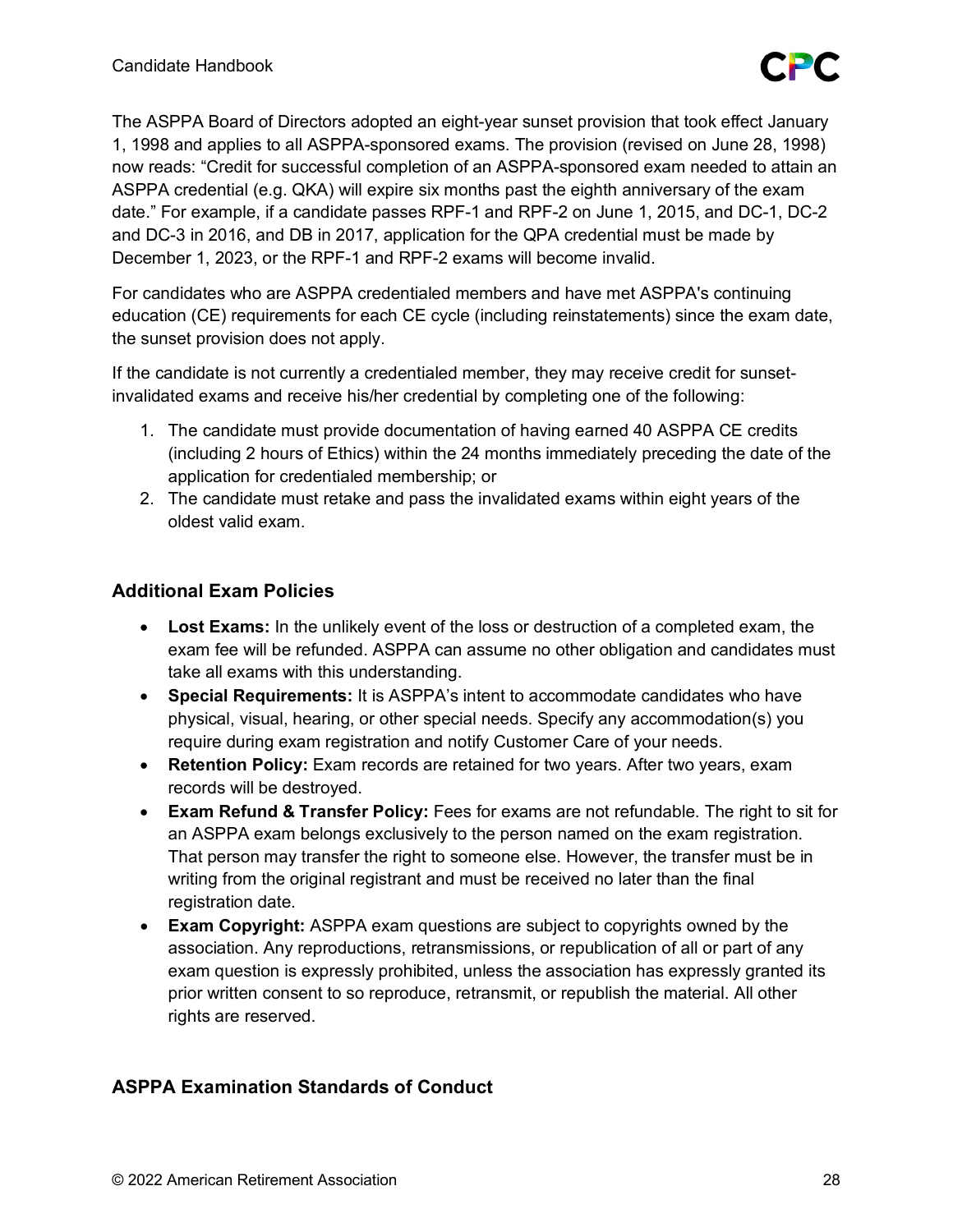The ASPPA Board of Directors adopted an eight-year sunset provision that took effect January 1, 1998 and applies to all ASPPA-sponsored exams. The provision (revised on June 28, 1998) now reads: "Credit for successful completion of an ASPPA-sponsored exam needed to attain an ASPPA credential (e.g. QKA) will expire six months past the eighth anniversary of the exam date." For example, if a candidate passes RPF-1 and RPF-2 on June 1, 2015, and DC-1, DC-2 and DC-3 in 2016, and DB in 2017, application for the QPA credential must be made by December 1, 2023, or the RPF-1 and RPF-2 exams will become invalid.

For candidates who are ASPPA credentialed members and have met ASPPA's continuing education (CE) requirements for each CE cycle (including reinstatements) since the exam date, the sunset provision does not apply.

If the candidate is not currently a credentialed member, they may receive credit for sunsetinvalidated exams and receive his/her credential by completing one of the following:

- 1. The candidate must provide documentation of having earned 40 ASPPA CE credits (including 2 hours of Ethics) within the 24 months immediately preceding the date of the application for credentialed membership; or
- 2. The candidate must retake and pass the invalidated exams within eight years of the oldest valid exam.

# **Additional Exam Policies**

- **Lost Exams:** In the unlikely event of the loss or destruction of a completed exam, the exam fee will be refunded. ASPPA can assume no other obligation and candidates must take all exams with this understanding.
- **Special Requirements:** It is ASPPA's intent to accommodate candidates who have physical, visual, hearing, or other special needs. Specify any accommodation(s) you require during exam registration and notify Customer Care of your needs.
- **Retention Policy:** Exam records are retained for two years. After two years, exam records will be destroyed.
- **Exam Refund & Transfer Policy:** Fees for exams are not refundable. The right to sit for an ASPPA exam belongs exclusively to the person named on the exam registration. That person may transfer the right to someone else. However, the transfer must be in writing from the original registrant and must be received no later than the final registration date.
- **Exam Copyright:** ASPPA exam questions are subject to copyrights owned by the association. Any reproductions, retransmissions, or republication of all or part of any exam question is expressly prohibited, unless the association has expressly granted its prior written consent to so reproduce, retransmit, or republish the material. All other rights are reserved.

# **ASPPA Examination Standards of Conduct**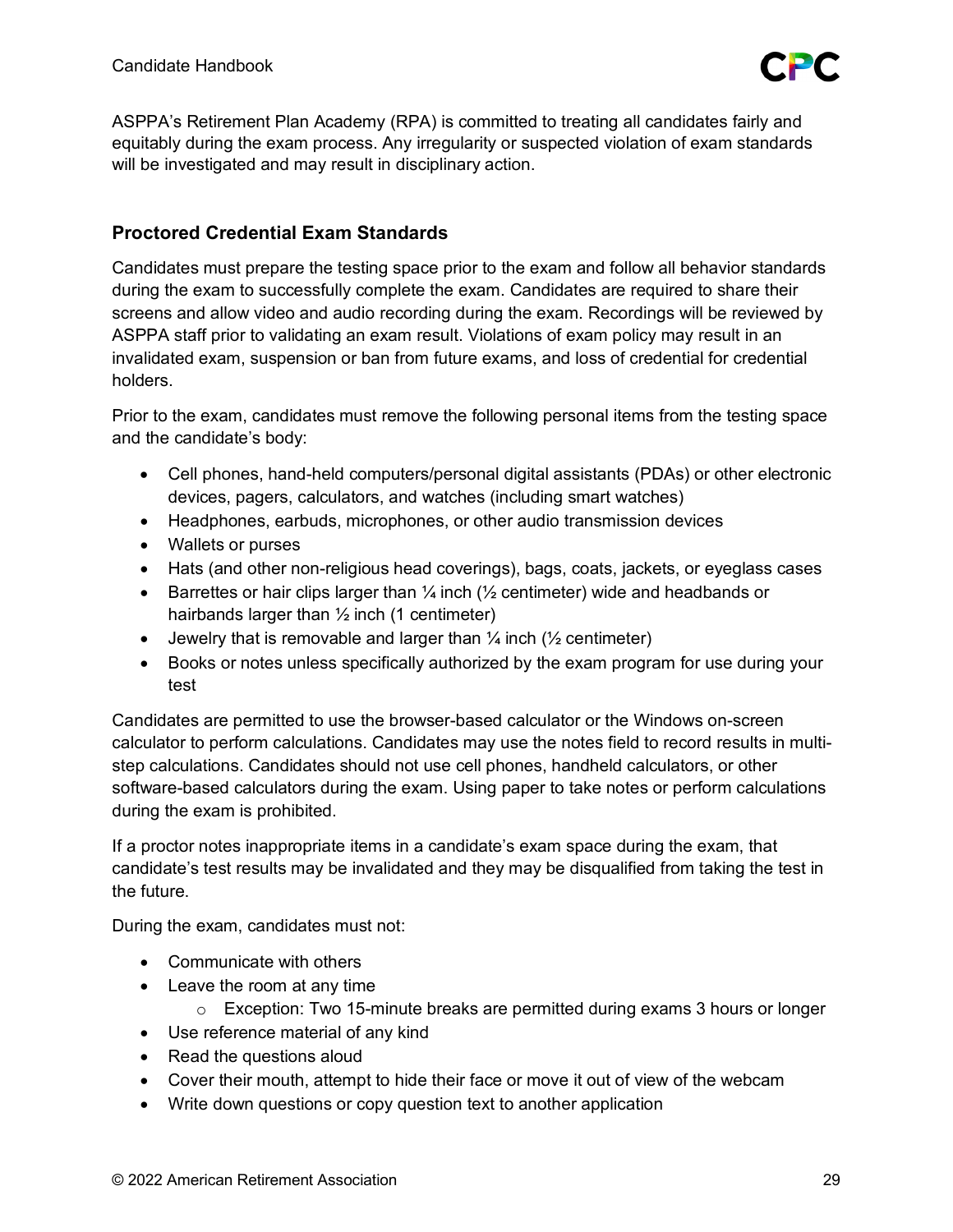

ASPPA's Retirement Plan Academy (RPA) is committed to treating all candidates fairly and equitably during the exam process. Any irregularity or suspected violation of exam standards will be investigated and may result in disciplinary action.

# **Proctored Credential Exam Standards**

Candidates must prepare the testing space prior to the exam and follow all behavior standards during the exam to successfully complete the exam. Candidates are required to share their screens and allow video and audio recording during the exam. Recordings will be reviewed by ASPPA staff prior to validating an exam result. Violations of exam policy may result in an invalidated exam, suspension or ban from future exams, and loss of credential for credential holders.

Prior to the exam, candidates must remove the following personal items from the testing space and the candidate's body:

- Cell phones, hand-held computers/personal digital assistants (PDAs) or other electronic devices, pagers, calculators, and watches (including smart watches)
- Headphones, earbuds, microphones, or other audio transmission devices
- Wallets or purses
- Hats (and other non-religious head coverings), bags, coats, jackets, or eyeglass cases
- Barrettes or hair clips larger than  $\frac{1}{4}$  inch ( $\frac{1}{2}$  centimeter) wide and headbands or hairbands larger than  $\frac{1}{2}$  inch (1 centimeter)
- Jewelry that is removable and larger than  $\frac{1}{4}$  inch ( $\frac{1}{2}$  centimeter)
- Books or notes unless specifically authorized by the exam program for use during your test

Candidates are permitted to use the browser-based calculator or the Windows on-screen calculator to perform calculations. Candidates may use the notes field to record results in multistep calculations. Candidates should not use cell phones, handheld calculators, or other software-based calculators during the exam. Using paper to take notes or perform calculations during the exam is prohibited.

If a proctor notes inappropriate items in a candidate's exam space during the exam, that candidate's test results may be invalidated and they may be disqualified from taking the test in the future.

During the exam, candidates must not:

- Communicate with others
- Leave the room at any time
	- o Exception: Two 15-minute breaks are permitted during exams 3 hours or longer
- Use reference material of any kind
- Read the questions aloud
- Cover their mouth, attempt to hide their face or move it out of view of the webcam
- Write down questions or copy question text to another application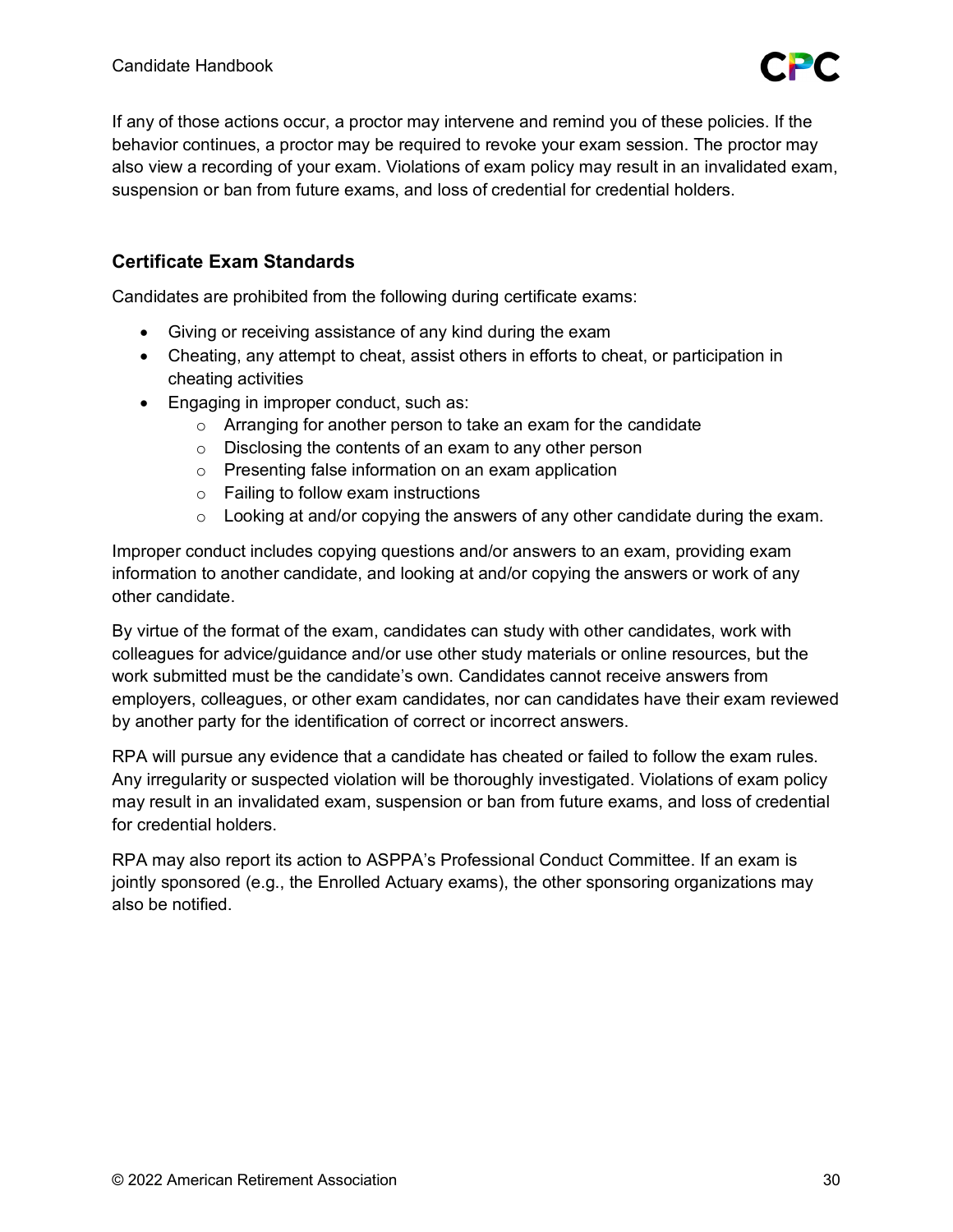

If any of those actions occur, a proctor may intervene and remind you of these policies. If the behavior continues, a proctor may be required to revoke your exam session. The proctor may also view a recording of your exam. Violations of exam policy may result in an invalidated exam, suspension or ban from future exams, and loss of credential for credential holders.

# **Certificate Exam Standards**

Candidates are prohibited from the following during certificate exams:

- Giving or receiving assistance of any kind during the exam
- Cheating, any attempt to cheat, assist others in efforts to cheat, or participation in cheating activities
- Engaging in improper conduct, such as:
	- o Arranging for another person to take an exam for the candidate
	- $\circ$  Disclosing the contents of an exam to any other person
	- o Presenting false information on an exam application
	- o Failing to follow exam instructions
	- $\circ$  Looking at and/or copying the answers of any other candidate during the exam.

Improper conduct includes copying questions and/or answers to an exam, providing exam information to another candidate, and looking at and/or copying the answers or work of any other candidate.

By virtue of the format of the exam, candidates can study with other candidates, work with colleagues for advice/guidance and/or use other study materials or online resources, but the work submitted must be the candidate's own. Candidates cannot receive answers from employers, colleagues, or other exam candidates, nor can candidates have their exam reviewed by another party for the identification of correct or incorrect answers.

RPA will pursue any evidence that a candidate has cheated or failed to follow the exam rules. Any irregularity or suspected violation will be thoroughly investigated. Violations of exam policy may result in an invalidated exam, suspension or ban from future exams, and loss of credential for credential holders.

RPA may also report its action to ASPPA's Professional Conduct Committee. If an exam is jointly sponsored (e.g., the Enrolled Actuary exams), the other sponsoring organizations may also be notified.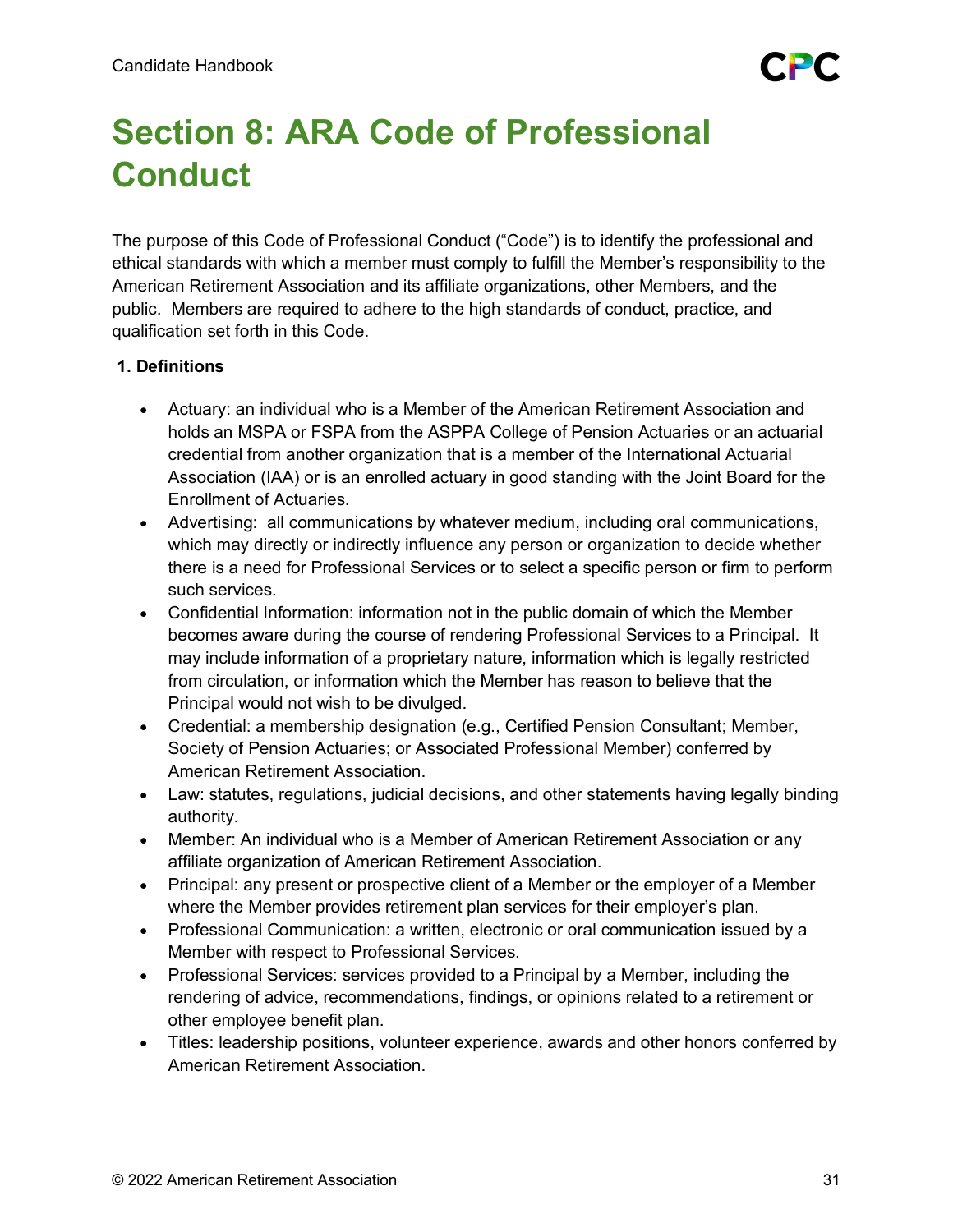# <span id="page-30-0"></span>**Section 8: ARA Code of Professional Conduct**

The purpose of this Code of Professional Conduct ("Code") is to identify the professional and ethical standards with which a member must comply to fulfill the Member's responsibility to the American Retirement Association and its affiliate organizations, other Members, and the public. Members are required to adhere to the high standards of conduct, practice, and qualification set forth in this Code.

# **1. Definitions**

- Actuary: an individual who is a Member of the American Retirement Association and holds an MSPA or FSPA from the ASPPA College of Pension Actuaries or an actuarial credential from another organization that is a member of the International Actuarial Association (IAA) or is an enrolled actuary in good standing with the Joint Board for the Enrollment of Actuaries.
- Advertising: all communications by whatever medium, including oral communications, which may directly or indirectly influence any person or organization to decide whether there is a need for Professional Services or to select a specific person or firm to perform such services.
- Confidential Information: information not in the public domain of which the Member becomes aware during the course of rendering Professional Services to a Principal. It may include information of a proprietary nature, information which is legally restricted from circulation, or information which the Member has reason to believe that the Principal would not wish to be divulged.
- Credential: a membership designation (e.g., Certified Pension Consultant; Member, Society of Pension Actuaries; or Associated Professional Member) conferred by American Retirement Association.
- Law: statutes, regulations, judicial decisions, and other statements having legally binding authority.
- Member: An individual who is a Member of American Retirement Association or any affiliate organization of American Retirement Association.
- Principal: any present or prospective client of a Member or the employer of a Member where the Member provides retirement plan services for their employer's plan.
- Professional Communication: a written, electronic or oral communication issued by a Member with respect to Professional Services.
- Professional Services: services provided to a Principal by a Member, including the rendering of advice, recommendations, findings, or opinions related to a retirement or other employee benefit plan.
- Titles: leadership positions, volunteer experience, awards and other honors conferred by American Retirement Association.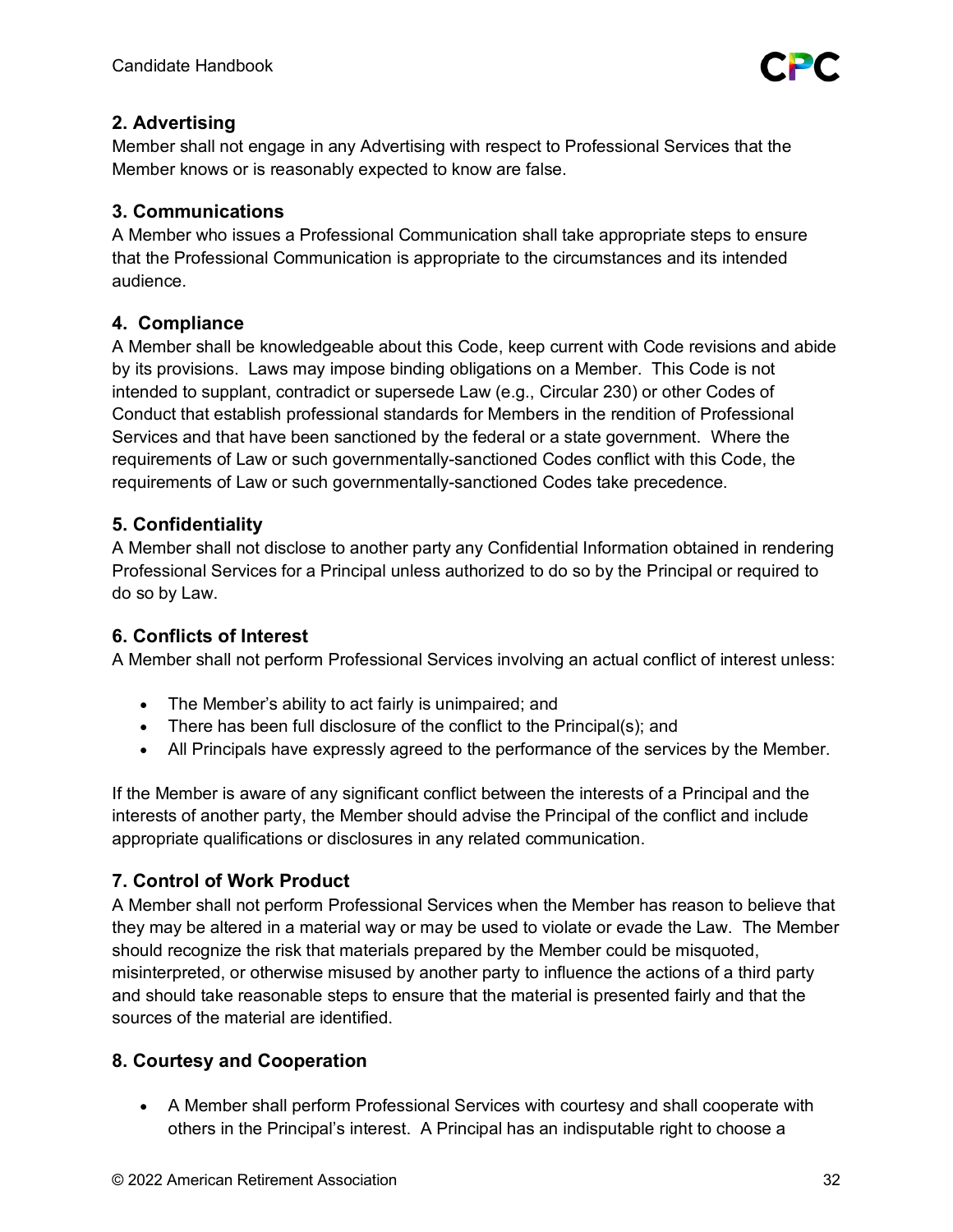

# **2. Advertising**

Member shall not engage in any Advertising with respect to Professional Services that the Member knows or is reasonably expected to know are false.

# **3. Communications**

A Member who issues a Professional Communication shall take appropriate steps to ensure that the Professional Communication is appropriate to the circumstances and its intended audience.

# **4. Compliance**

A Member shall be knowledgeable about this Code, keep current with Code revisions and abide by its provisions. Laws may impose binding obligations on a Member. This Code is not intended to supplant, contradict or supersede Law (e.g., Circular 230) or other Codes of Conduct that establish professional standards for Members in the rendition of Professional Services and that have been sanctioned by the federal or a state government. Where the requirements of Law or such governmentally-sanctioned Codes conflict with this Code, the requirements of Law or such governmentally-sanctioned Codes take precedence.

# **5. Confidentiality**

A Member shall not disclose to another party any Confidential Information obtained in rendering Professional Services for a Principal unless authorized to do so by the Principal or required to do so by Law.

# **6. Conflicts of Interest**

A Member shall not perform Professional Services involving an actual conflict of interest unless:

- The Member's ability to act fairly is unimpaired; and
- There has been full disclosure of the conflict to the Principal(s); and
- All Principals have expressly agreed to the performance of the services by the Member.

If the Member is aware of any significant conflict between the interests of a Principal and the interests of another party, the Member should advise the Principal of the conflict and include appropriate qualifications or disclosures in any related communication.

# **7. Control of Work Product**

A Member shall not perform Professional Services when the Member has reason to believe that they may be altered in a material way or may be used to violate or evade the Law. The Member should recognize the risk that materials prepared by the Member could be misquoted, misinterpreted, or otherwise misused by another party to influence the actions of a third party and should take reasonable steps to ensure that the material is presented fairly and that the sources of the material are identified.

# **8. Courtesy and Cooperation**

• A Member shall perform Professional Services with courtesy and shall cooperate with others in the Principal's interest. A Principal has an indisputable right to choose a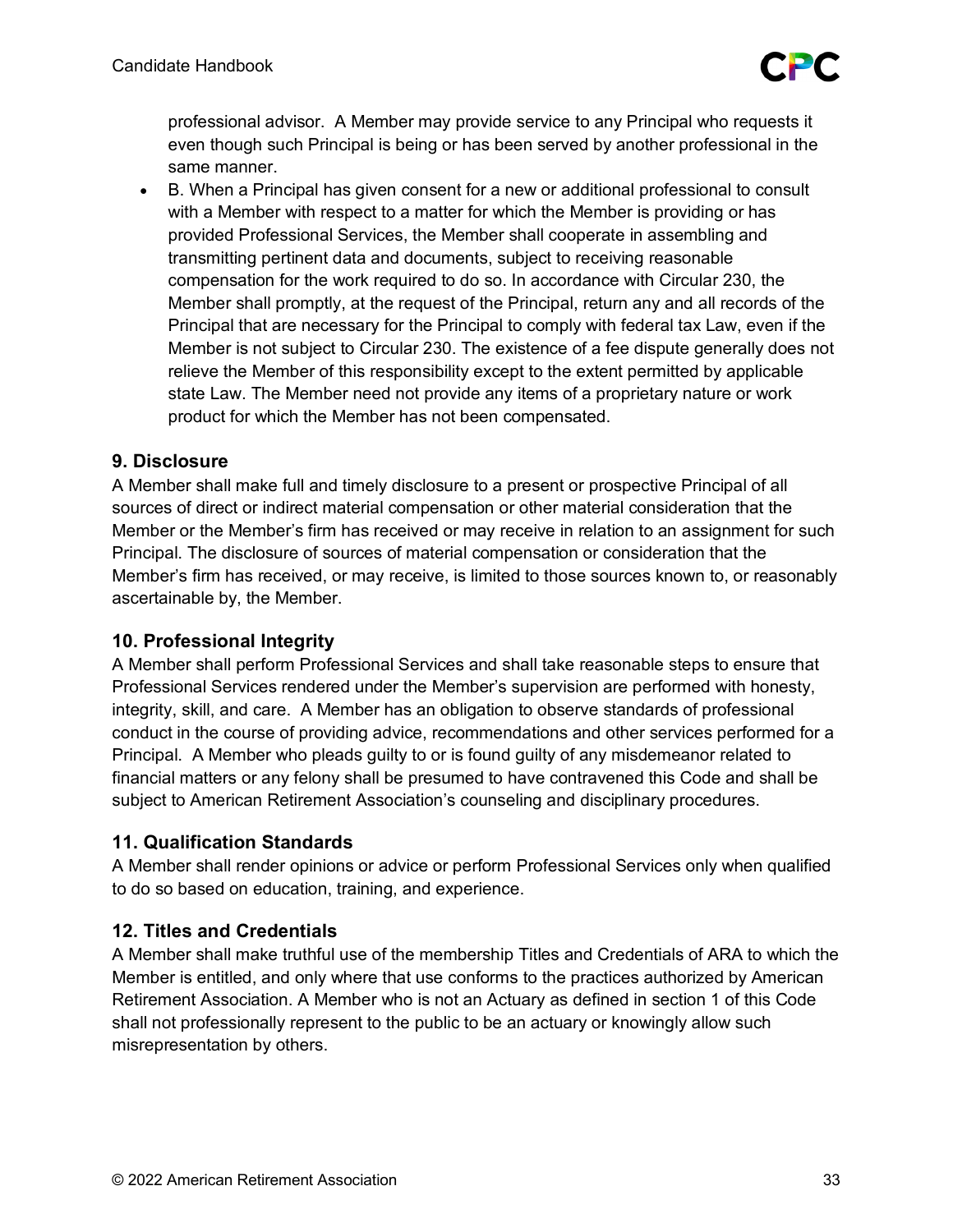

professional advisor. A Member may provide service to any Principal who requests it even though such Principal is being or has been served by another professional in the same manner.

• B. When a Principal has given consent for a new or additional professional to consult with a Member with respect to a matter for which the Member is providing or has provided Professional Services, the Member shall cooperate in assembling and transmitting pertinent data and documents, subject to receiving reasonable compensation for the work required to do so. In accordance with Circular 230, the Member shall promptly, at the request of the Principal, return any and all records of the Principal that are necessary for the Principal to comply with federal tax Law, even if the Member is not subject to Circular 230. The existence of a fee dispute generally does not relieve the Member of this responsibility except to the extent permitted by applicable state Law. The Member need not provide any items of a proprietary nature or work product for which the Member has not been compensated.

# **9. Disclosure**

A Member shall make full and timely disclosure to a present or prospective Principal of all sources of direct or indirect material compensation or other material consideration that the Member or the Member's firm has received or may receive in relation to an assignment for such Principal. The disclosure of sources of material compensation or consideration that the Member's firm has received, or may receive, is limited to those sources known to, or reasonably ascertainable by, the Member.

# **10. Professional Integrity**

A Member shall perform Professional Services and shall take reasonable steps to ensure that Professional Services rendered under the Member's supervision are performed with honesty, integrity, skill, and care. A Member has an obligation to observe standards of professional conduct in the course of providing advice, recommendations and other services performed for a Principal. A Member who pleads guilty to or is found guilty of any misdemeanor related to financial matters or any felony shall be presumed to have contravened this Code and shall be subject to American Retirement Association's counseling and disciplinary procedures.

# **11. Qualification Standards**

A Member shall render opinions or advice or perform Professional Services only when qualified to do so based on education, training, and experience.

# **12. Titles and Credentials**

A Member shall make truthful use of the membership Titles and Credentials of ARA to which the Member is entitled, and only where that use conforms to the practices authorized by American Retirement Association. A Member who is not an Actuary as defined in section 1 of this Code shall not professionally represent to the public to be an actuary or knowingly allow such misrepresentation by others.